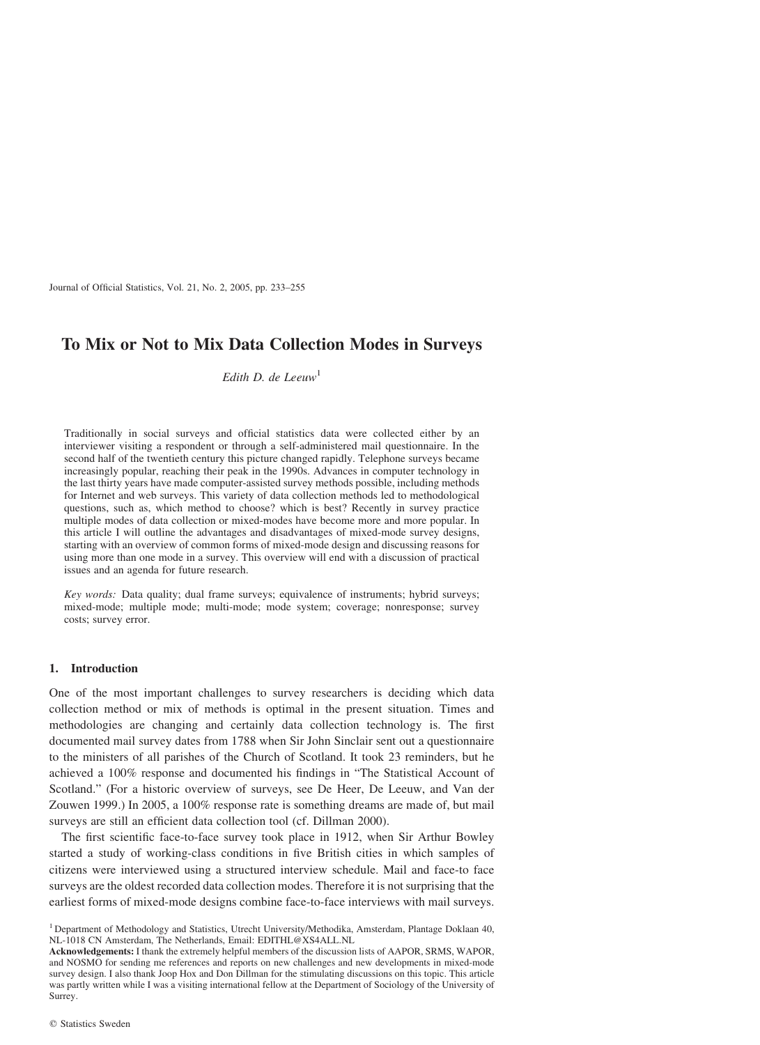Journal of Official Statistics, Vol. 21, No. 2, 2005, pp. 233–255

# To Mix or Not to Mix Data Collection Modes in Surveys

Edith D. de Leeuw<sup>1</sup>

Traditionally in social surveys and official statistics data were collected either by an interviewer visiting a respondent or through a self-administered mail questionnaire. In the second half of the twentieth century this picture changed rapidly. Telephone surveys became increasingly popular, reaching their peak in the 1990s. Advances in computer technology in the last thirty years have made computer-assisted survey methods possible, including methods for Internet and web surveys. This variety of data collection methods led to methodological questions, such as, which method to choose? which is best? Recently in survey practice multiple modes of data collection or mixed-modes have become more and more popular. In this article I will outline the advantages and disadvantages of mixed-mode survey designs, starting with an overview of common forms of mixed-mode design and discussing reasons for using more than one mode in a survey. This overview will end with a discussion of practical issues and an agenda for future research.

Key words: Data quality; dual frame surveys; equivalence of instruments; hybrid surveys; mixed-mode; multiple mode; multi-mode; mode system; coverage; nonresponse; survey costs; survey error.

# 1. Introduction

One of the most important challenges to survey researchers is deciding which data collection method or mix of methods is optimal in the present situation. Times and methodologies are changing and certainly data collection technology is. The first documented mail survey dates from 1788 when Sir John Sinclair sent out a questionnaire to the ministers of all parishes of the Church of Scotland. It took 23 reminders, but he achieved a 100% response and documented his findings in "The Statistical Account of Scotland." (For a historic overview of surveys, see De Heer, De Leeuw, and Van der Zouwen 1999.) In 2005, a 100% response rate is something dreams are made of, but mail surveys are still an efficient data collection tool (cf. Dillman 2000).

The first scientific face-to-face survey took place in 1912, when Sir Arthur Bowley started a study of working-class conditions in five British cities in which samples of citizens were interviewed using a structured interview schedule. Mail and face-to face surveys are the oldest recorded data collection modes. Therefore it is not surprising that the earliest forms of mixed-mode designs combine face-to-face interviews with mail surveys.

<sup>1</sup> Department of Methodology and Statistics, Utrecht University/Methodika, Amsterdam, Plantage Doklaan 40, NL-1018 CN Amsterdam, The Netherlands, Email: EDITHL@XS4ALL.NL

Acknowledgements: I thank the extremely helpful members of the discussion lists of AAPOR, SRMS, WAPOR, and NOSMO for sending me references and reports on new challenges and new developments in mixed-mode survey design. I also thank Joop Hox and Don Dillman for the stimulating discussions on this topic. This article was partly written while I was a visiting international fellow at the Department of Sociology of the University of Surrey.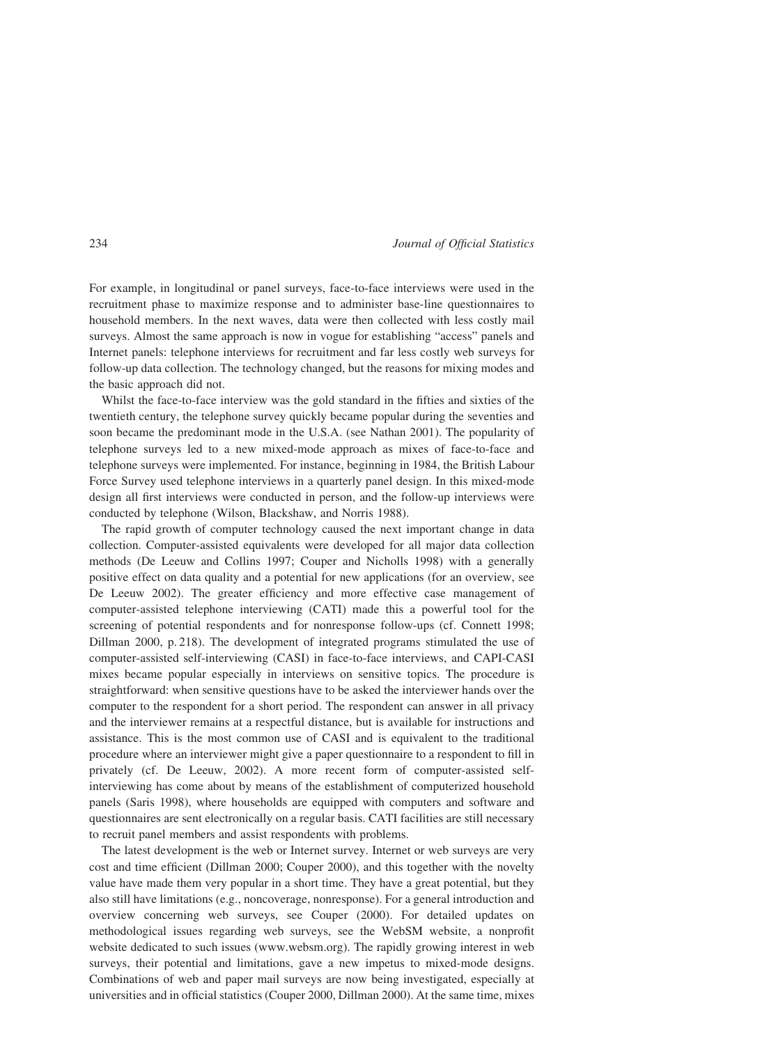For example, in longitudinal or panel surveys, face-to-face interviews were used in the recruitment phase to maximize response and to administer base-line questionnaires to household members. In the next waves, data were then collected with less costly mail surveys. Almost the same approach is now in vogue for establishing "access" panels and Internet panels: telephone interviews for recruitment and far less costly web surveys for follow-up data collection. The technology changed, but the reasons for mixing modes and the basic approach did not.

Whilst the face-to-face interview was the gold standard in the fifties and sixties of the twentieth century, the telephone survey quickly became popular during the seventies and soon became the predominant mode in the U.S.A. (see Nathan 2001). The popularity of telephone surveys led to a new mixed-mode approach as mixes of face-to-face and telephone surveys were implemented. For instance, beginning in 1984, the British Labour Force Survey used telephone interviews in a quarterly panel design. In this mixed-mode design all first interviews were conducted in person, and the follow-up interviews were conducted by telephone (Wilson, Blackshaw, and Norris 1988).

The rapid growth of computer technology caused the next important change in data collection. Computer-assisted equivalents were developed for all major data collection methods (De Leeuw and Collins 1997; Couper and Nicholls 1998) with a generally positive effect on data quality and a potential for new applications (for an overview, see De Leeuw 2002). The greater efficiency and more effective case management of computer-assisted telephone interviewing (CATI) made this a powerful tool for the screening of potential respondents and for nonresponse follow-ups (cf. Connett 1998; Dillman 2000, p. 218). The development of integrated programs stimulated the use of computer-assisted self-interviewing (CASI) in face-to-face interviews, and CAPI-CASI mixes became popular especially in interviews on sensitive topics. The procedure is straightforward: when sensitive questions have to be asked the interviewer hands over the computer to the respondent for a short period. The respondent can answer in all privacy and the interviewer remains at a respectful distance, but is available for instructions and assistance. This is the most common use of CASI and is equivalent to the traditional procedure where an interviewer might give a paper questionnaire to a respondent to fill in privately (cf. De Leeuw, 2002). A more recent form of computer-assisted selfinterviewing has come about by means of the establishment of computerized household panels (Saris 1998), where households are equipped with computers and software and questionnaires are sent electronically on a regular basis. CATI facilities are still necessary to recruit panel members and assist respondents with problems.

The latest development is the web or Internet survey. Internet or web surveys are very cost and time efficient (Dillman 2000; Couper 2000), and this together with the novelty value have made them very popular in a short time. They have a great potential, but they also still have limitations (e.g., noncoverage, nonresponse). For a general introduction and overview concerning web surveys, see Couper (2000). For detailed updates on methodological issues regarding web surveys, see the WebSM website, a nonprofit website dedicated to such issues (www.websm.org). The rapidly growing interest in web surveys, their potential and limitations, gave a new impetus to mixed-mode designs. Combinations of web and paper mail surveys are now being investigated, especially at universities and in official statistics (Couper 2000, Dillman 2000). At the same time, mixes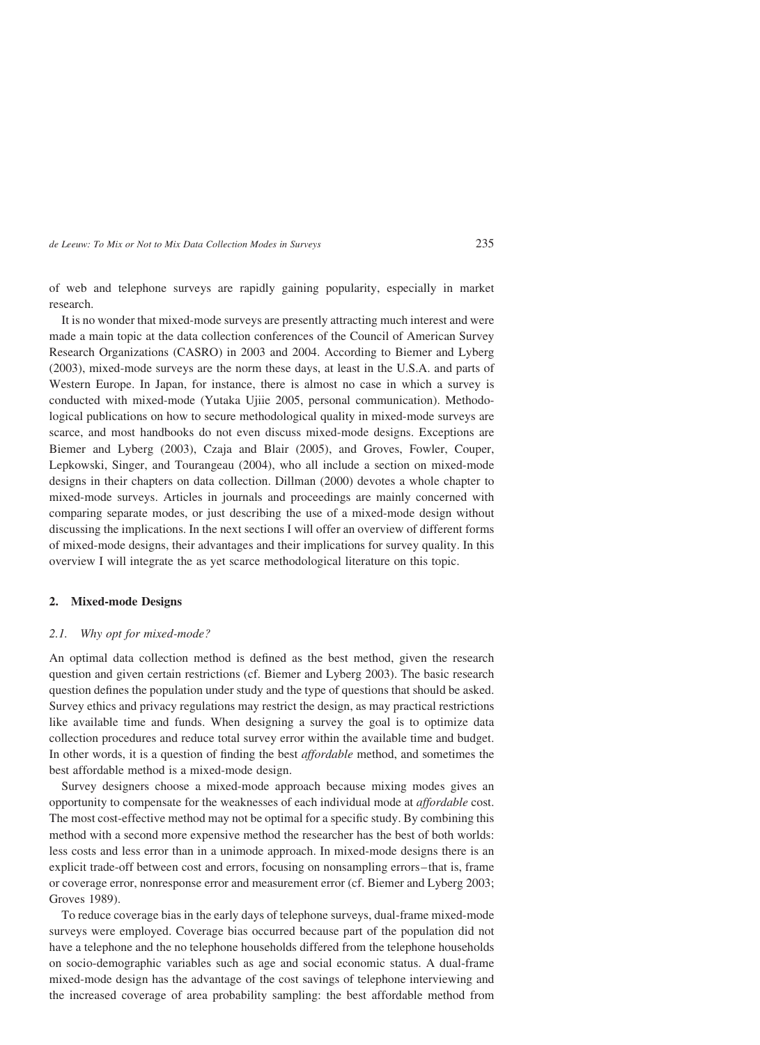of web and telephone surveys are rapidly gaining popularity, especially in market research.

It is no wonder that mixed-mode surveys are presently attracting much interest and were made a main topic at the data collection conferences of the Council of American Survey Research Organizations (CASRO) in 2003 and 2004. According to Biemer and Lyberg (2003), mixed-mode surveys are the norm these days, at least in the U.S.A. and parts of Western Europe. In Japan, for instance, there is almost no case in which a survey is conducted with mixed-mode (Yutaka Ujiie 2005, personal communication). Methodological publications on how to secure methodological quality in mixed-mode surveys are scarce, and most handbooks do not even discuss mixed-mode designs. Exceptions are Biemer and Lyberg (2003), Czaja and Blair (2005), and Groves, Fowler, Couper, Lepkowski, Singer, and Tourangeau (2004), who all include a section on mixed-mode designs in their chapters on data collection. Dillman (2000) devotes a whole chapter to mixed-mode surveys. Articles in journals and proceedings are mainly concerned with comparing separate modes, or just describing the use of a mixed-mode design without discussing the implications. In the next sections I will offer an overview of different forms of mixed-mode designs, their advantages and their implications for survey quality. In this overview I will integrate the as yet scarce methodological literature on this topic.

# 2. Mixed-mode Designs

#### 2.1. Why opt for mixed-mode?

An optimal data collection method is defined as the best method, given the research question and given certain restrictions (cf. Biemer and Lyberg 2003). The basic research question defines the population under study and the type of questions that should be asked. Survey ethics and privacy regulations may restrict the design, as may practical restrictions like available time and funds. When designing a survey the goal is to optimize data collection procedures and reduce total survey error within the available time and budget. In other words, it is a question of finding the best affordable method, and sometimes the best affordable method is a mixed-mode design.

Survey designers choose a mixed-mode approach because mixing modes gives an opportunity to compensate for the weaknesses of each individual mode at affordable cost. The most cost-effective method may not be optimal for a specific study. By combining this method with a second more expensive method the researcher has the best of both worlds: less costs and less error than in a unimode approach. In mixed-mode designs there is an explicit trade-off between cost and errors, focusing on nonsampling errors-that is, frame or coverage error, nonresponse error and measurement error (cf. Biemer and Lyberg 2003; Groves 1989).

To reduce coverage bias in the early days of telephone surveys, dual-frame mixed-mode surveys were employed. Coverage bias occurred because part of the population did not have a telephone and the no telephone households differed from the telephone households on socio-demographic variables such as age and social economic status. A dual-frame mixed-mode design has the advantage of the cost savings of telephone interviewing and the increased coverage of area probability sampling: the best affordable method from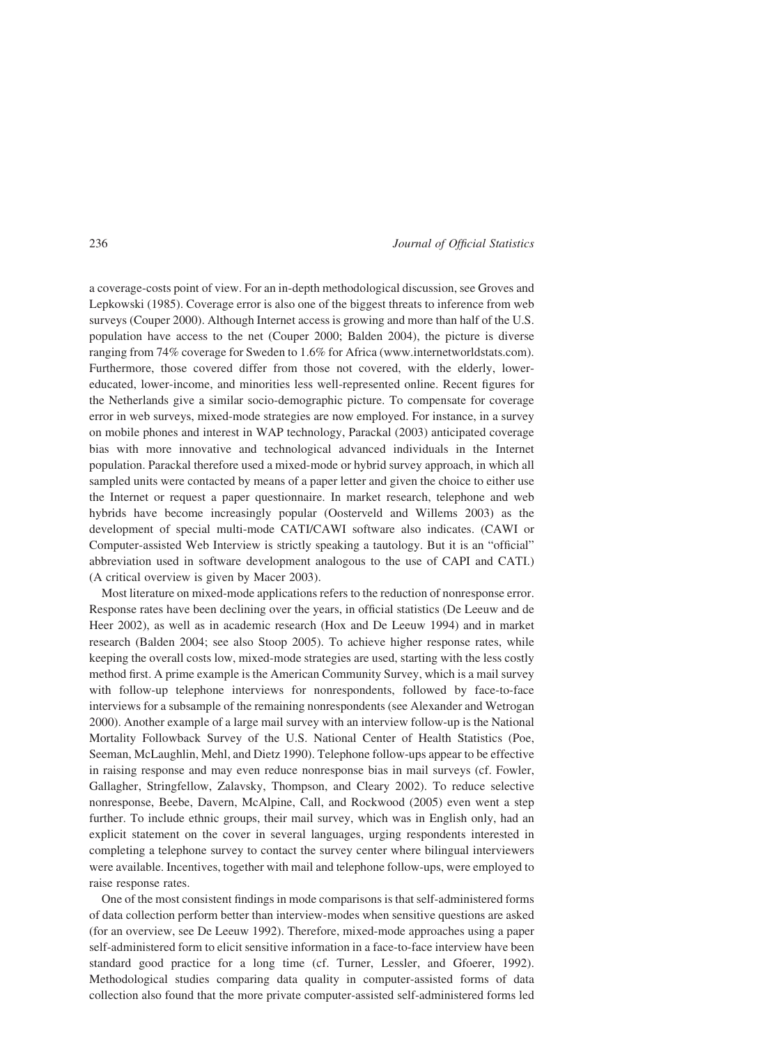a coverage-costs point of view. For an in-depth methodological discussion, see Groves and Lepkowski (1985). Coverage error is also one of the biggest threats to inference from web surveys (Couper 2000). Although Internet access is growing and more than half of the U.S. population have access to the net (Couper 2000; Balden 2004), the picture is diverse ranging from 74% coverage for Sweden to 1.6% for Africa (www.internetworldstats.com). Furthermore, those covered differ from those not covered, with the elderly, lowereducated, lower-income, and minorities less well-represented online. Recent figures for the Netherlands give a similar socio-demographic picture. To compensate for coverage error in web surveys, mixed-mode strategies are now employed. For instance, in a survey on mobile phones and interest in WAP technology, Parackal (2003) anticipated coverage bias with more innovative and technological advanced individuals in the Internet population. Parackal therefore used a mixed-mode or hybrid survey approach, in which all sampled units were contacted by means of a paper letter and given the choice to either use the Internet or request a paper questionnaire. In market research, telephone and web hybrids have become increasingly popular (Oosterveld and Willems 2003) as the development of special multi-mode CATI/CAWI software also indicates. (CAWI or Computer-assisted Web Interview is strictly speaking a tautology. But it is an "official" abbreviation used in software development analogous to the use of CAPI and CATI.) (A critical overview is given by Macer 2003).

Most literature on mixed-mode applications refers to the reduction of nonresponse error. Response rates have been declining over the years, in official statistics (De Leeuw and de Heer 2002), as well as in academic research (Hox and De Leeuw 1994) and in market research (Balden 2004; see also Stoop 2005). To achieve higher response rates, while keeping the overall costs low, mixed-mode strategies are used, starting with the less costly method first. A prime example is the American Community Survey, which is a mail survey with follow-up telephone interviews for nonrespondents, followed by face-to-face interviews for a subsample of the remaining nonrespondents (see Alexander and Wetrogan 2000). Another example of a large mail survey with an interview follow-up is the National Mortality Followback Survey of the U.S. National Center of Health Statistics (Poe, Seeman, McLaughlin, Mehl, and Dietz 1990). Telephone follow-ups appear to be effective in raising response and may even reduce nonresponse bias in mail surveys (cf. Fowler, Gallagher, Stringfellow, Zalavsky, Thompson, and Cleary 2002). To reduce selective nonresponse, Beebe, Davern, McAlpine, Call, and Rockwood (2005) even went a step further. To include ethnic groups, their mail survey, which was in English only, had an explicit statement on the cover in several languages, urging respondents interested in completing a telephone survey to contact the survey center where bilingual interviewers were available. Incentives, together with mail and telephone follow-ups, were employed to raise response rates.

One of the most consistent findings in mode comparisons is that self-administered forms of data collection perform better than interview-modes when sensitive questions are asked (for an overview, see De Leeuw 1992). Therefore, mixed-mode approaches using a paper self-administered form to elicit sensitive information in a face-to-face interview have been standard good practice for a long time (cf. Turner, Lessler, and Gfoerer, 1992). Methodological studies comparing data quality in computer-assisted forms of data collection also found that the more private computer-assisted self-administered forms led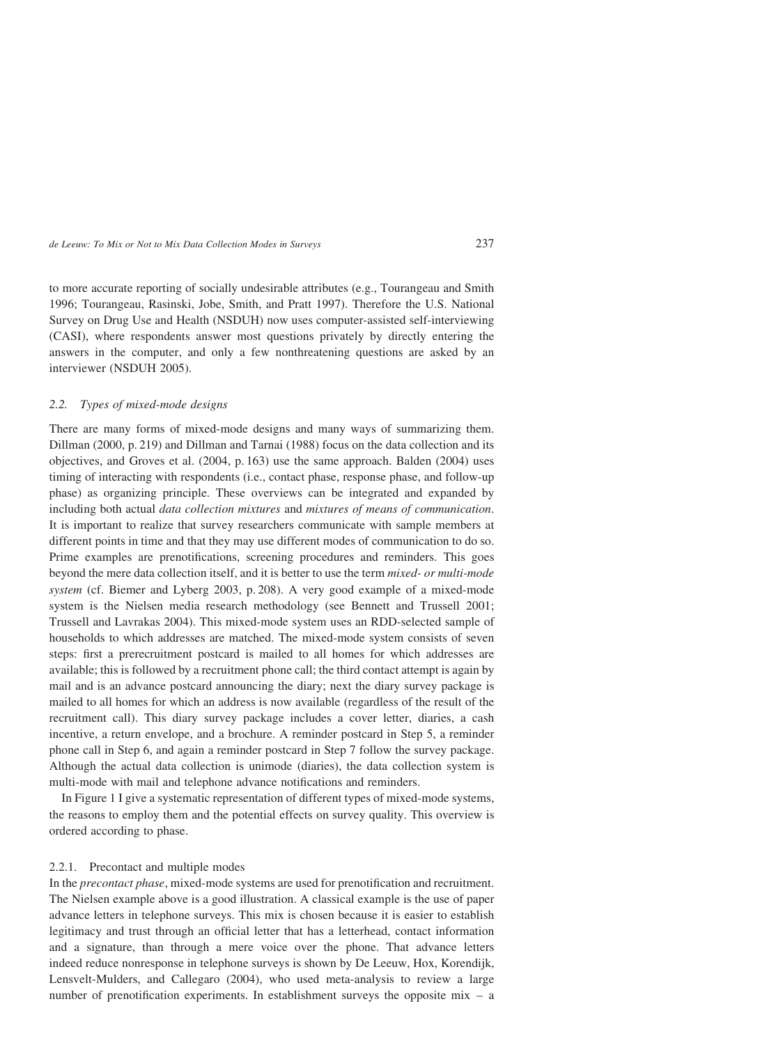to more accurate reporting of socially undesirable attributes (e.g., Tourangeau and Smith 1996; Tourangeau, Rasinski, Jobe, Smith, and Pratt 1997). Therefore the U.S. National Survey on Drug Use and Health (NSDUH) now uses computer-assisted self-interviewing (CASI), where respondents answer most questions privately by directly entering the answers in the computer, and only a few nonthreatening questions are asked by an interviewer (NSDUH 2005).

# 2.2. Types of mixed-mode designs

There are many forms of mixed-mode designs and many ways of summarizing them. Dillman (2000, p. 219) and Dillman and Tarnai (1988) focus on the data collection and its objectives, and Groves et al. (2004, p. 163) use the same approach. Balden (2004) uses timing of interacting with respondents (i.e., contact phase, response phase, and follow-up phase) as organizing principle. These overviews can be integrated and expanded by including both actual data collection mixtures and mixtures of means of communication. It is important to realize that survey researchers communicate with sample members at different points in time and that they may use different modes of communication to do so. Prime examples are prenotifications, screening procedures and reminders. This goes beyond the mere data collection itself, and it is better to use the term mixed- or multi-mode system (cf. Biemer and Lyberg 2003, p. 208). A very good example of a mixed-mode system is the Nielsen media research methodology (see Bennett and Trussell 2001; Trussell and Lavrakas 2004). This mixed-mode system uses an RDD-selected sample of households to which addresses are matched. The mixed-mode system consists of seven steps: first a prerecruitment postcard is mailed to all homes for which addresses are available; this is followed by a recruitment phone call; the third contact attempt is again by mail and is an advance postcard announcing the diary; next the diary survey package is mailed to all homes for which an address is now available (regardless of the result of the recruitment call). This diary survey package includes a cover letter, diaries, a cash incentive, a return envelope, and a brochure. A reminder postcard in Step 5, a reminder phone call in Step 6, and again a reminder postcard in Step 7 follow the survey package. Although the actual data collection is unimode (diaries), the data collection system is multi-mode with mail and telephone advance notifications and reminders.

In Figure 1 I give a systematic representation of different types of mixed-mode systems, the reasons to employ them and the potential effects on survey quality. This overview is ordered according to phase.

### 2.2.1. Precontact and multiple modes

In the precontact phase, mixed-mode systems are used for prenotification and recruitment. The Nielsen example above is a good illustration. A classical example is the use of paper advance letters in telephone surveys. This mix is chosen because it is easier to establish legitimacy and trust through an official letter that has a letterhead, contact information and a signature, than through a mere voice over the phone. That advance letters indeed reduce nonresponse in telephone surveys is shown by De Leeuw, Hox, Korendijk, Lensvelt-Mulders, and Callegaro (2004), who used meta-analysis to review a large number of prenotification experiments. In establishment surveys the opposite mix – a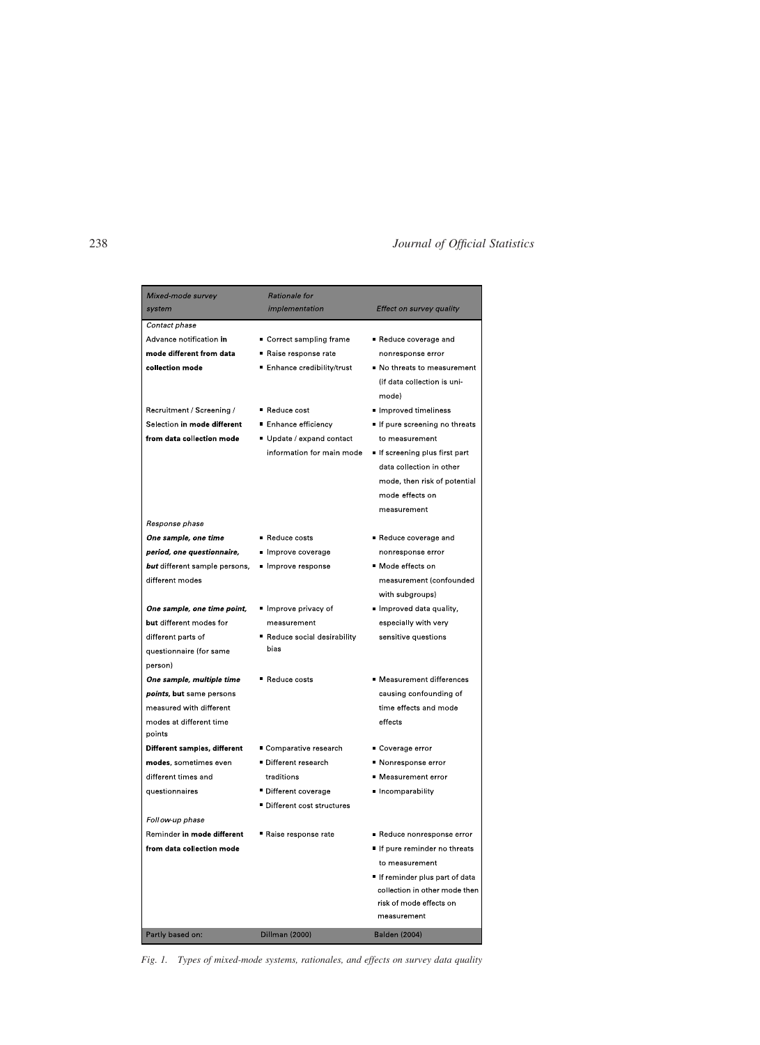| Mixed-mode survey                 | Rationale for               |                                                                                                                            |
|-----------------------------------|-----------------------------|----------------------------------------------------------------------------------------------------------------------------|
| system                            | implementation              | Effect on survey quality                                                                                                   |
| Contact phase                     |                             |                                                                                                                            |
| Advance notification in           | ■ Correct sampling frame    | Reduce coverage and                                                                                                        |
| mode different from data          | Raise response rate         | nonresponse error                                                                                                          |
| collection mode                   | ■ Enhance credibility/trust | No threats to measurement<br>(if data collection is uni-<br>mode)                                                          |
| Recruitment / Screening /         | Reduce cost                 | Improved timeliness                                                                                                        |
| Selection in mode different       | ■ Enhance efficiency        | If pure screening no threats                                                                                               |
| from data collection mode         | ■ Update / expand contact   | to measurement                                                                                                             |
|                                   | information for main mode   | If screening plus first part<br>data collection in other<br>mode, then risk of potential<br>mode effects on<br>measurement |
| Response phase                    |                             |                                                                                                                            |
| One sample, one time              | Reduce costs                | Reduce coverage and                                                                                                        |
| period, one questionnaire,        | Improve coverage            | nonresponse error                                                                                                          |
| but different sample persons,     | Improve response            | ■ Mode effects on                                                                                                          |
| different modes                   |                             | measurement (confounded                                                                                                    |
|                                   |                             | with subgroups)                                                                                                            |
| One sample, one time point,       | ■ Improve privacy of        | Improved data quality,                                                                                                     |
| but different modes for           | measurement                 | especially with very                                                                                                       |
| different parts of                | Reduce social desirability  | sensitive questions                                                                                                        |
| questionnaire (for same           | bias                        |                                                                                                                            |
| person)                           |                             |                                                                                                                            |
| One sample, multiple time         | Reduce costs                | ■ Measurement differences                                                                                                  |
| <i>points</i> , but same persons  |                             | causing confounding of                                                                                                     |
| measured with different           |                             | time effects and mode                                                                                                      |
| modes at different time<br>points |                             | effects                                                                                                                    |
| Different samples, different      | ■ Comparative research      | ■ Coverage error                                                                                                           |
| modes, sometimes even             | Different research          | ■ Nonresponse error                                                                                                        |
| different times and               | traditions                  | ■ Measurement error                                                                                                        |
| questionnaires                    | Different coverage          | Incomparability                                                                                                            |
|                                   | Different cost structures   |                                                                                                                            |
| Foll ow-up phase                  |                             |                                                                                                                            |
| Reminder in mode different        | Raise response rate         | ■ Reduce nonresponse error                                                                                                 |
| from data collection mode         |                             | If pure reminder no threats                                                                                                |
|                                   |                             | to measurement                                                                                                             |
|                                   |                             | If reminder plus part of data                                                                                              |
|                                   |                             | collection in other mode then                                                                                              |
|                                   |                             | risk of mode effects on                                                                                                    |
|                                   |                             | measurement                                                                                                                |
| Partly based on:                  | <b>Dillman (2000)</b>       | <b>Balden (2004)</b>                                                                                                       |

Fig. 1. Types of mixed-mode systems, rationales, and effects on survey data quality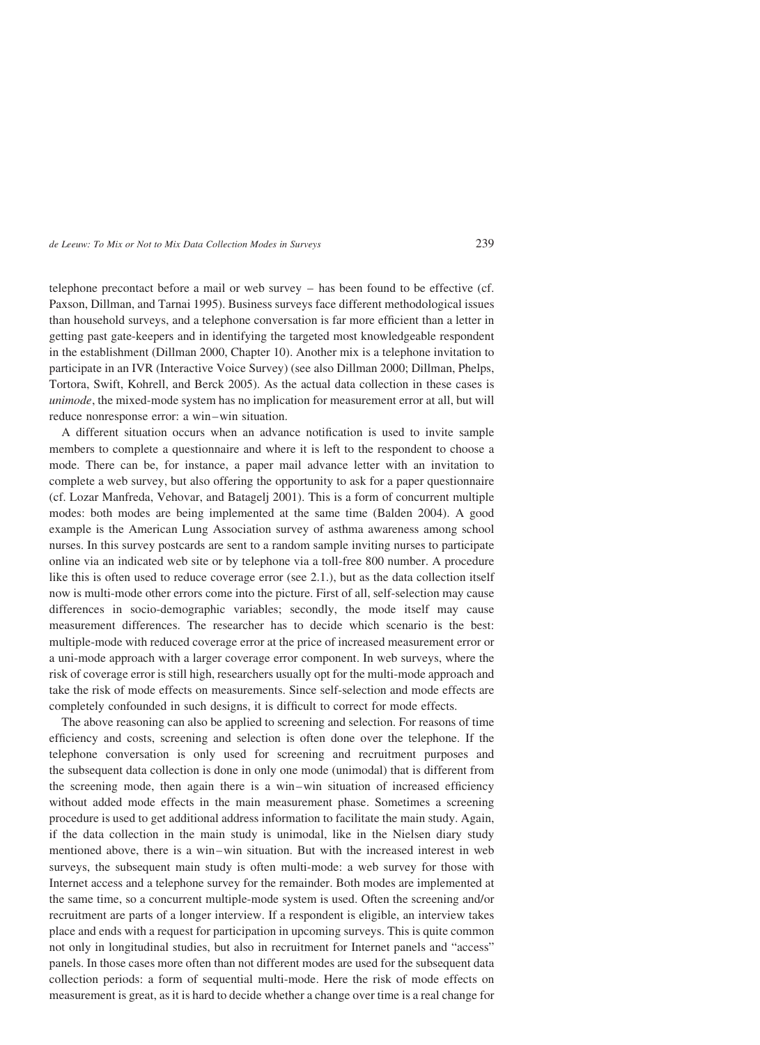telephone precontact before a mail or web survey – has been found to be effective (cf. Paxson, Dillman, and Tarnai 1995). Business surveys face different methodological issues than household surveys, and a telephone conversation is far more efficient than a letter in getting past gate-keepers and in identifying the targeted most knowledgeable respondent in the establishment (Dillman 2000, Chapter 10). Another mix is a telephone invitation to participate in an IVR (Interactive Voice Survey) (see also Dillman 2000; Dillman, Phelps, Tortora, Swift, Kohrell, and Berck 2005). As the actual data collection in these cases is unimode, the mixed-mode system has no implication for measurement error at all, but will reduce nonresponse error: a win-win situation.

A different situation occurs when an advance notification is used to invite sample members to complete a questionnaire and where it is left to the respondent to choose a mode. There can be, for instance, a paper mail advance letter with an invitation to complete a web survey, but also offering the opportunity to ask for a paper questionnaire (cf. Lozar Manfreda, Vehovar, and Batagelj 2001). This is a form of concurrent multiple modes: both modes are being implemented at the same time (Balden 2004). A good example is the American Lung Association survey of asthma awareness among school nurses. In this survey postcards are sent to a random sample inviting nurses to participate online via an indicated web site or by telephone via a toll-free 800 number. A procedure like this is often used to reduce coverage error (see 2.1.), but as the data collection itself now is multi-mode other errors come into the picture. First of all, self-selection may cause differences in socio-demographic variables; secondly, the mode itself may cause measurement differences. The researcher has to decide which scenario is the best: multiple-mode with reduced coverage error at the price of increased measurement error or a uni-mode approach with a larger coverage error component. In web surveys, where the risk of coverage error is still high, researchers usually opt for the multi-mode approach and take the risk of mode effects on measurements. Since self-selection and mode effects are completely confounded in such designs, it is difficult to correct for mode effects.

The above reasoning can also be applied to screening and selection. For reasons of time efficiency and costs, screening and selection is often done over the telephone. If the telephone conversation is only used for screening and recruitment purposes and the subsequent data collection is done in only one mode (unimodal) that is different from the screening mode, then again there is a win –win situation of increased efficiency without added mode effects in the main measurement phase. Sometimes a screening procedure is used to get additional address information to facilitate the main study. Again, if the data collection in the main study is unimodal, like in the Nielsen diary study mentioned above, there is a win-win situation. But with the increased interest in web surveys, the subsequent main study is often multi-mode: a web survey for those with Internet access and a telephone survey for the remainder. Both modes are implemented at the same time, so a concurrent multiple-mode system is used. Often the screening and/or recruitment are parts of a longer interview. If a respondent is eligible, an interview takes place and ends with a request for participation in upcoming surveys. This is quite common not only in longitudinal studies, but also in recruitment for Internet panels and "access" panels. In those cases more often than not different modes are used for the subsequent data collection periods: a form of sequential multi-mode. Here the risk of mode effects on measurement is great, as it is hard to decide whether a change over time is a real change for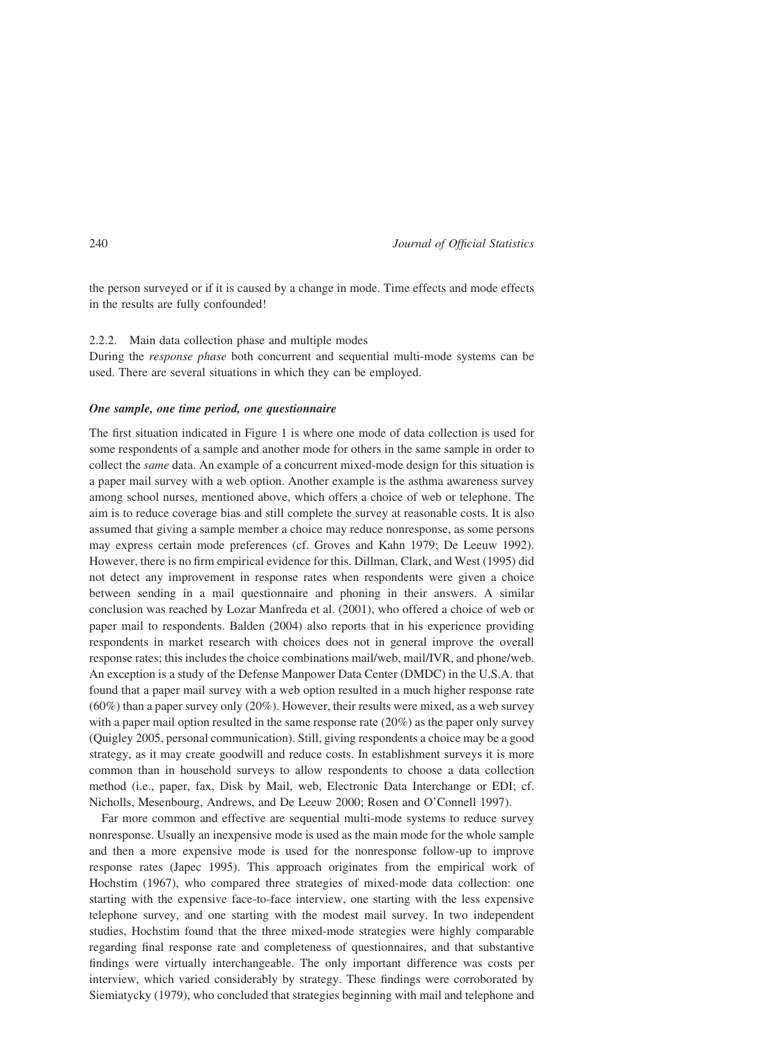the person surveyed or if it is caused by a change in mode. Time effects and mode effects in the results are fully confounded!

### 2.2.2. Main data collection phase and multiple modes

During the response phase both concurrent and sequential multi-mode systems can be used. There are several situations in which they can be employed.

### One sample, one time period, one questionnaire

The first situation indicated in Figure 1 is where one mode of data collection is used for some respondents of a sample and another mode for others in the same sample in order to collect the same data. An example of a concurrent mixed-mode design for this situation is a paper mail survey with a web option. Another example is the asthma awareness survey among school nurses, mentioned above, which offers a choice of web or telephone. The aim is to reduce coverage bias and still complete the survey at reasonable costs. It is also assumed that giving a sample member a choice may reduce nonresponse, as some persons may express certain mode preferences (cf. Groves and Kahn 1979; De Leeuw 1992). However, there is no firm empirical evidence for this. Dillman, Clark, and West (1995) did not detect any improvement in response rates when respondents were given a choice between sending in a mail questionnaire and phoning in their answers. A similar conclusion was reached by Lozar Manfreda et al. (2001), who offered a choice of web or paper mail to respondents. Balden (2004) also reports that in his experience providing respondents in market research with choices does not in general improve the overall response rates; this includes the choice combinations mail/web, mail/IVR, and phone/web. An exception is a study of the Defense Manpower Data Center (DMDC) in the U.S.A. that found that a paper mail survey with a web option resulted in a much higher response rate  $(60\%)$  than a paper survey only  $(20\%)$ . However, their results were mixed, as a web survey with a paper mail option resulted in the same response rate  $(20\%)$  as the paper only survey (Quigley 2005, personal communication). Still, giving respondents a choice may be a good strategy, as it may create goodwill and reduce costs. In establishment surveys it is more common than in household surveys to allow respondents to choose a data collection method (i.e., paper, fax, Disk by Mail, web, Electronic Data Interchange or EDI; cf. Nicholls, Mesenbourg, Andrews, and De Leeuw 2000; Rosen and O'Connell 1997).

Far more common and effective are sequential multi-mode systems to reduce survey nonresponse. Usually an inexpensive mode is used as the main mode for the whole sample and then a more expensive mode is used for the nonresponse follow-up to improve response rates (Japec 1995). This approach originates from the empirical work of Hochstim (1967), who compared three strategies of mixed-mode data collection: one starting with the expensive face-to-face interview, one starting with the less expensive telephone survey, and one starting with the modest mail survey. In two independent studies, Hochstim found that the three mixed-mode strategies were highly comparable regarding final response rate and completeness of questionnaires, and that substantive findings were virtually interchangeable. The only important difference was costs per interview, which varied considerably by strategy. These findings were corroborated by Siemiatycky (1979), who concluded that strategies beginning with mail and telephone and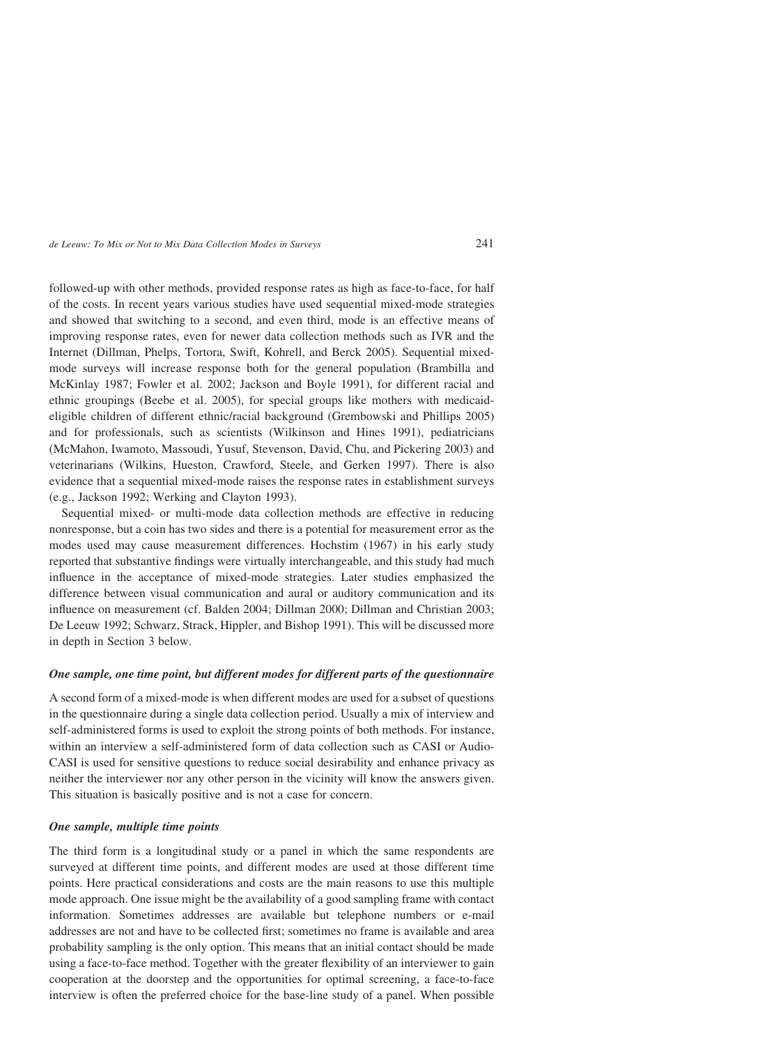followed-up with other methods, provided response rates as high as face-to-face, for half of the costs. In recent years various studies have used sequential mixed-mode strategies and showed that switching to a second, and even third, mode is an effective means of improving response rates, even for newer data collection methods such as IVR and the Internet (Dillman, Phelps, Tortora, Swift, Kohrell, and Berck 2005). Sequential mixedmode surveys will increase response both for the general population (Brambilla and McKinlay 1987; Fowler et al. 2002; Jackson and Boyle 1991), for different racial and ethnic groupings (Beebe et al. 2005), for special groups like mothers with medicaideligible children of different ethnic/racial background (Grembowski and Phillips 2005) and for professionals, such as scientists (Wilkinson and Hines 1991), pediatricians (McMahon, Iwamoto, Massoudi, Yusuf, Stevenson, David, Chu, and Pickering 2003) and veterinarians (Wilkins, Hueston, Crawford, Steele, and Gerken 1997). There is also evidence that a sequential mixed-mode raises the response rates in establishment surveys (e.g., Jackson 1992; Werking and Clayton 1993).

Sequential mixed- or multi-mode data collection methods are effective in reducing nonresponse, but a coin has two sides and there is a potential for measurement error as the modes used may cause measurement differences. Hochstim (1967) in his early study reported that substantive findings were virtually interchangeable, and this study had much influence in the acceptance of mixed-mode strategies. Later studies emphasized the difference between visual communication and aural or auditory communication and its influence on measurement (cf. Balden 2004; Dillman 2000; Dillman and Christian 2003; De Leeuw 1992; Schwarz, Strack, Hippler, and Bishop 1991). This will be discussed more in depth in Section 3 below.

#### One sample, one time point, but different modes for different parts of the questionnaire

A second form of a mixed-mode is when different modes are used for a subset of questions in the questionnaire during a single data collection period. Usually a mix of interview and self-administered forms is used to exploit the strong points of both methods. For instance, within an interview a self-administered form of data collection such as CASI or Audio-CASI is used for sensitive questions to reduce social desirability and enhance privacy as neither the interviewer nor any other person in the vicinity will know the answers given. This situation is basically positive and is not a case for concern.

# One sample, multiple time points

The third form is a longitudinal study or a panel in which the same respondents are surveyed at different time points, and different modes are used at those different time points. Here practical considerations and costs are the main reasons to use this multiple mode approach. One issue might be the availability of a good sampling frame with contact information. Sometimes addresses are available but telephone numbers or e-mail addresses are not and have to be collected first; sometimes no frame is available and area probability sampling is the only option. This means that an initial contact should be made using a face-to-face method. Together with the greater flexibility of an interviewer to gain cooperation at the doorstep and the opportunities for optimal screening, a face-to-face interview is often the preferred choice for the base-line study of a panel. When possible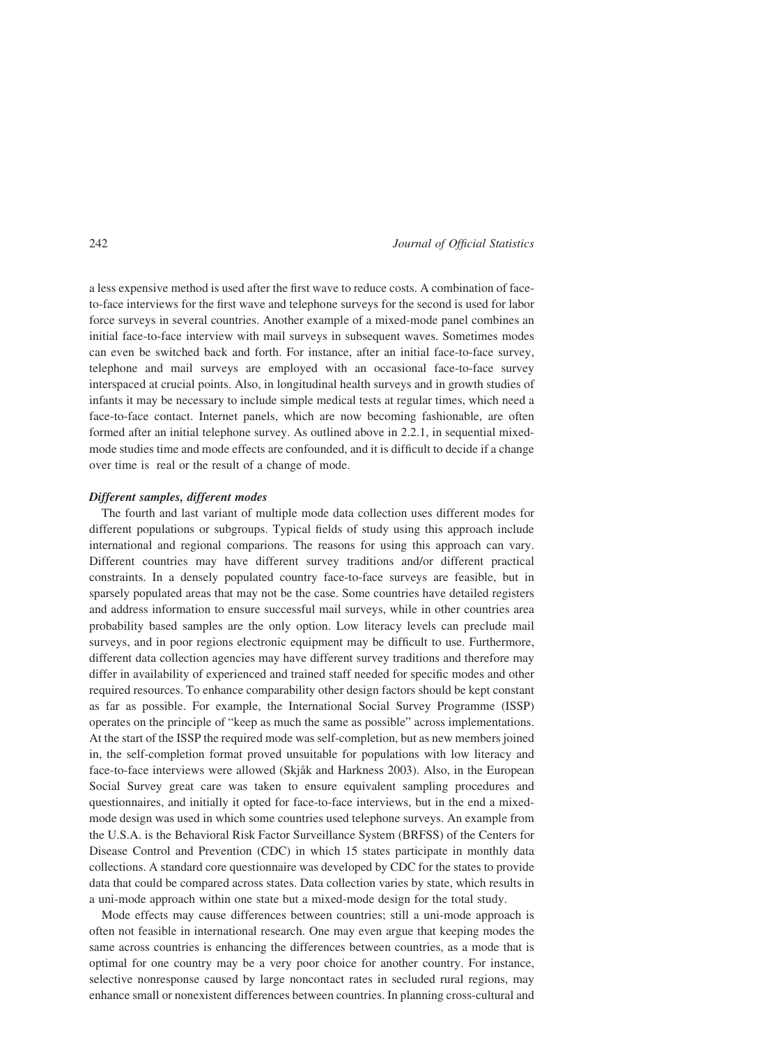a less expensive method is used after the first wave to reduce costs. A combination of faceto-face interviews for the first wave and telephone surveys for the second is used for labor force surveys in several countries. Another example of a mixed-mode panel combines an initial face-to-face interview with mail surveys in subsequent waves. Sometimes modes can even be switched back and forth. For instance, after an initial face-to-face survey, telephone and mail surveys are employed with an occasional face-to-face survey interspaced at crucial points. Also, in longitudinal health surveys and in growth studies of infants it may be necessary to include simple medical tests at regular times, which need a face-to-face contact. Internet panels, which are now becoming fashionable, are often formed after an initial telephone survey. As outlined above in 2.2.1, in sequential mixedmode studies time and mode effects are confounded, and it is difficult to decide if a change over time is real or the result of a change of mode.

### Different samples, different modes

The fourth and last variant of multiple mode data collection uses different modes for different populations or subgroups. Typical fields of study using this approach include international and regional comparions. The reasons for using this approach can vary. Different countries may have different survey traditions and/or different practical constraints. In a densely populated country face-to-face surveys are feasible, but in sparsely populated areas that may not be the case. Some countries have detailed registers and address information to ensure successful mail surveys, while in other countries area probability based samples are the only option. Low literacy levels can preclude mail surveys, and in poor regions electronic equipment may be difficult to use. Furthermore, different data collection agencies may have different survey traditions and therefore may differ in availability of experienced and trained staff needed for specific modes and other required resources. To enhance comparability other design factors should be kept constant as far as possible. For example, the International Social Survey Programme (ISSP) operates on the principle of "keep as much the same as possible" across implementations. At the start of the ISSP the required mode was self-completion, but as new members joined in, the self-completion format proved unsuitable for populations with low literacy and face-to-face interviews were allowed (Skiåk and Harkness 2003). Also, in the European Social Survey great care was taken to ensure equivalent sampling procedures and questionnaires, and initially it opted for face-to-face interviews, but in the end a mixedmode design was used in which some countries used telephone surveys. An example from the U.S.A. is the Behavioral Risk Factor Surveillance System (BRFSS) of the Centers for Disease Control and Prevention (CDC) in which 15 states participate in monthly data collections. A standard core questionnaire was developed by CDC for the states to provide data that could be compared across states. Data collection varies by state, which results in a uni-mode approach within one state but a mixed-mode design for the total study.

Mode effects may cause differences between countries; still a uni-mode approach is often not feasible in international research. One may even argue that keeping modes the same across countries is enhancing the differences between countries, as a mode that is optimal for one country may be a very poor choice for another country. For instance, selective nonresponse caused by large noncontact rates in secluded rural regions, may enhance small or nonexistent differences between countries. In planning cross-cultural and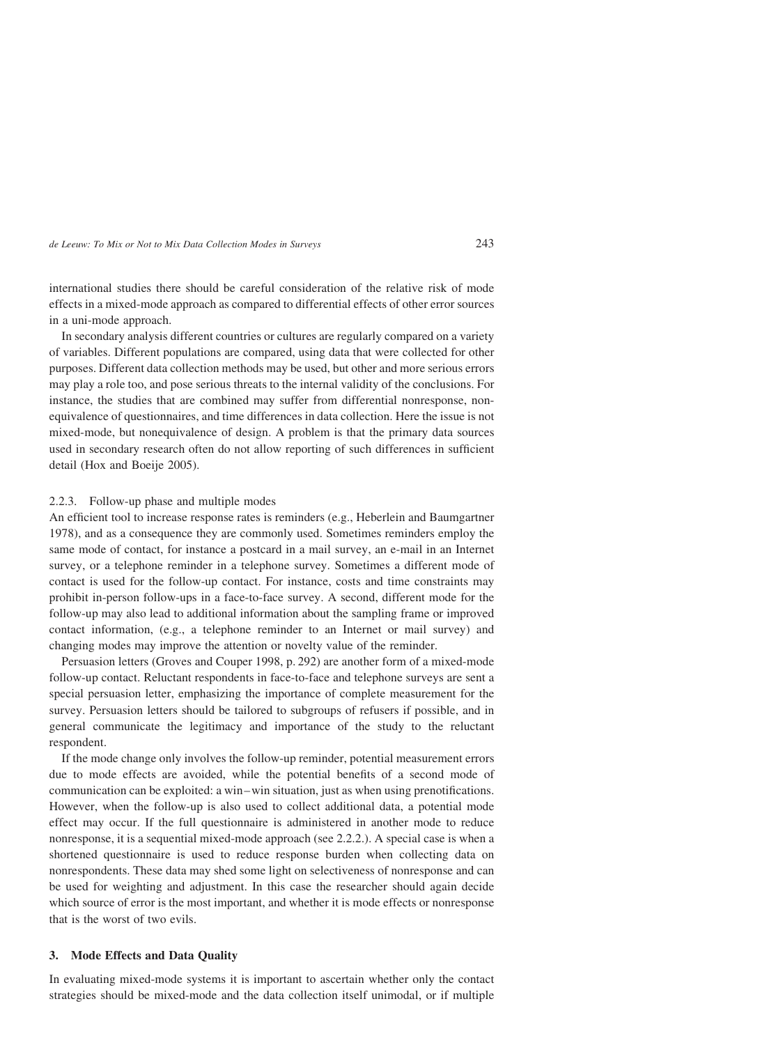international studies there should be careful consideration of the relative risk of mode effects in a mixed-mode approach as compared to differential effects of other error sources in a uni-mode approach.

In secondary analysis different countries or cultures are regularly compared on a variety of variables. Different populations are compared, using data that were collected for other purposes. Different data collection methods may be used, but other and more serious errors may play a role too, and pose serious threats to the internal validity of the conclusions. For instance, the studies that are combined may suffer from differential nonresponse, nonequivalence of questionnaires, and time differences in data collection. Here the issue is not mixed-mode, but nonequivalence of design. A problem is that the primary data sources used in secondary research often do not allow reporting of such differences in sufficient detail (Hox and Boeije 2005).

#### 2.2.3. Follow-up phase and multiple modes

An efficient tool to increase response rates is reminders (e.g., Heberlein and Baumgartner 1978), and as a consequence they are commonly used. Sometimes reminders employ the same mode of contact, for instance a postcard in a mail survey, an e-mail in an Internet survey, or a telephone reminder in a telephone survey. Sometimes a different mode of contact is used for the follow-up contact. For instance, costs and time constraints may prohibit in-person follow-ups in a face-to-face survey. A second, different mode for the follow-up may also lead to additional information about the sampling frame or improved contact information, (e.g., a telephone reminder to an Internet or mail survey) and changing modes may improve the attention or novelty value of the reminder.

Persuasion letters (Groves and Couper 1998, p. 292) are another form of a mixed-mode follow-up contact. Reluctant respondents in face-to-face and telephone surveys are sent a special persuasion letter, emphasizing the importance of complete measurement for the survey. Persuasion letters should be tailored to subgroups of refusers if possible, and in general communicate the legitimacy and importance of the study to the reluctant respondent.

If the mode change only involves the follow-up reminder, potential measurement errors due to mode effects are avoided, while the potential benefits of a second mode of communication can be exploited: a win–win situation, just as when using prenotifications. However, when the follow-up is also used to collect additional data, a potential mode effect may occur. If the full questionnaire is administered in another mode to reduce nonresponse, it is a sequential mixed-mode approach (see 2.2.2.). A special case is when a shortened questionnaire is used to reduce response burden when collecting data on nonrespondents. These data may shed some light on selectiveness of nonresponse and can be used for weighting and adjustment. In this case the researcher should again decide which source of error is the most important, and whether it is mode effects or nonresponse that is the worst of two evils.

# 3. Mode Effects and Data Quality

In evaluating mixed-mode systems it is important to ascertain whether only the contact strategies should be mixed-mode and the data collection itself unimodal, or if multiple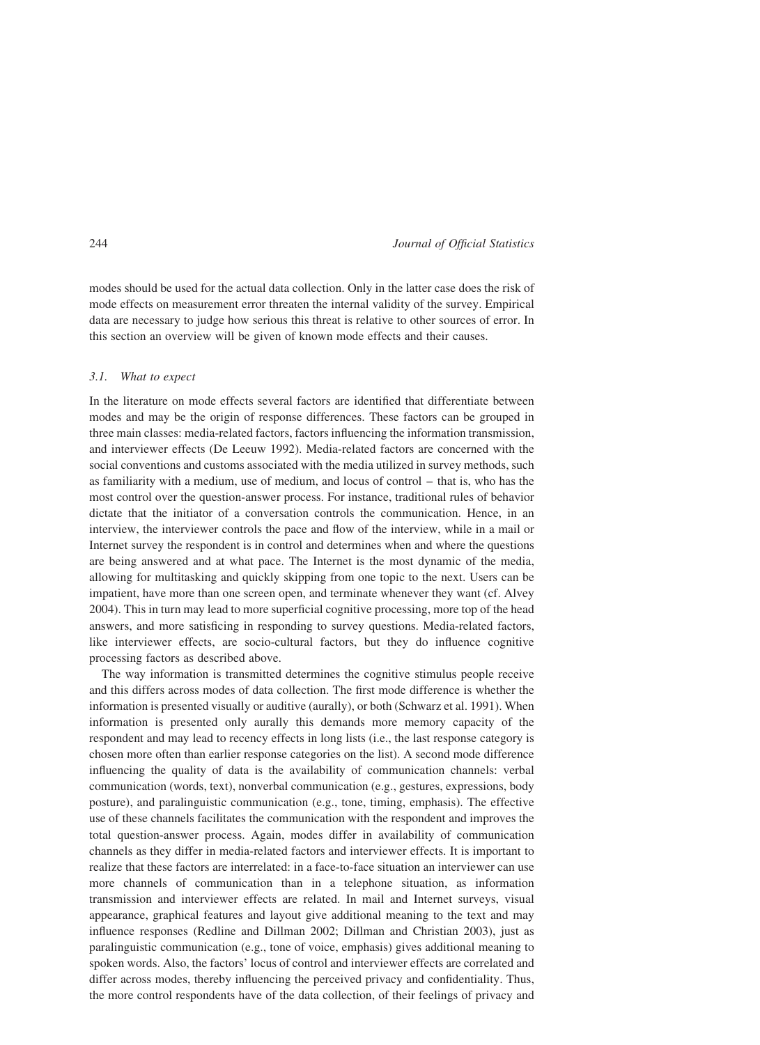modes should be used for the actual data collection. Only in the latter case does the risk of mode effects on measurement error threaten the internal validity of the survey. Empirical data are necessary to judge how serious this threat is relative to other sources of error. In this section an overview will be given of known mode effects and their causes.

#### 3.1. What to expect

In the literature on mode effects several factors are identified that differentiate between modes and may be the origin of response differences. These factors can be grouped in three main classes: media-related factors, factors influencing the information transmission, and interviewer effects (De Leeuw 1992). Media-related factors are concerned with the social conventions and customs associated with the media utilized in survey methods, such as familiarity with a medium, use of medium, and locus of control – that is, who has the most control over the question-answer process. For instance, traditional rules of behavior dictate that the initiator of a conversation controls the communication. Hence, in an interview, the interviewer controls the pace and flow of the interview, while in a mail or Internet survey the respondent is in control and determines when and where the questions are being answered and at what pace. The Internet is the most dynamic of the media, allowing for multitasking and quickly skipping from one topic to the next. Users can be impatient, have more than one screen open, and terminate whenever they want (cf. Alvey 2004). This in turn may lead to more superficial cognitive processing, more top of the head answers, and more satisficing in responding to survey questions. Media-related factors, like interviewer effects, are socio-cultural factors, but they do influence cognitive processing factors as described above.

The way information is transmitted determines the cognitive stimulus people receive and this differs across modes of data collection. The first mode difference is whether the information is presented visually or auditive (aurally), or both (Schwarz et al. 1991). When information is presented only aurally this demands more memory capacity of the respondent and may lead to recency effects in long lists (i.e., the last response category is chosen more often than earlier response categories on the list). A second mode difference influencing the quality of data is the availability of communication channels: verbal communication (words, text), nonverbal communication (e.g., gestures, expressions, body posture), and paralinguistic communication (e.g., tone, timing, emphasis). The effective use of these channels facilitates the communication with the respondent and improves the total question-answer process. Again, modes differ in availability of communication channels as they differ in media-related factors and interviewer effects. It is important to realize that these factors are interrelated: in a face-to-face situation an interviewer can use more channels of communication than in a telephone situation, as information transmission and interviewer effects are related. In mail and Internet surveys, visual appearance, graphical features and layout give additional meaning to the text and may influence responses (Redline and Dillman 2002; Dillman and Christian 2003), just as paralinguistic communication (e.g., tone of voice, emphasis) gives additional meaning to spoken words. Also, the factors' locus of control and interviewer effects are correlated and differ across modes, thereby influencing the perceived privacy and confidentiality. Thus, the more control respondents have of the data collection, of their feelings of privacy and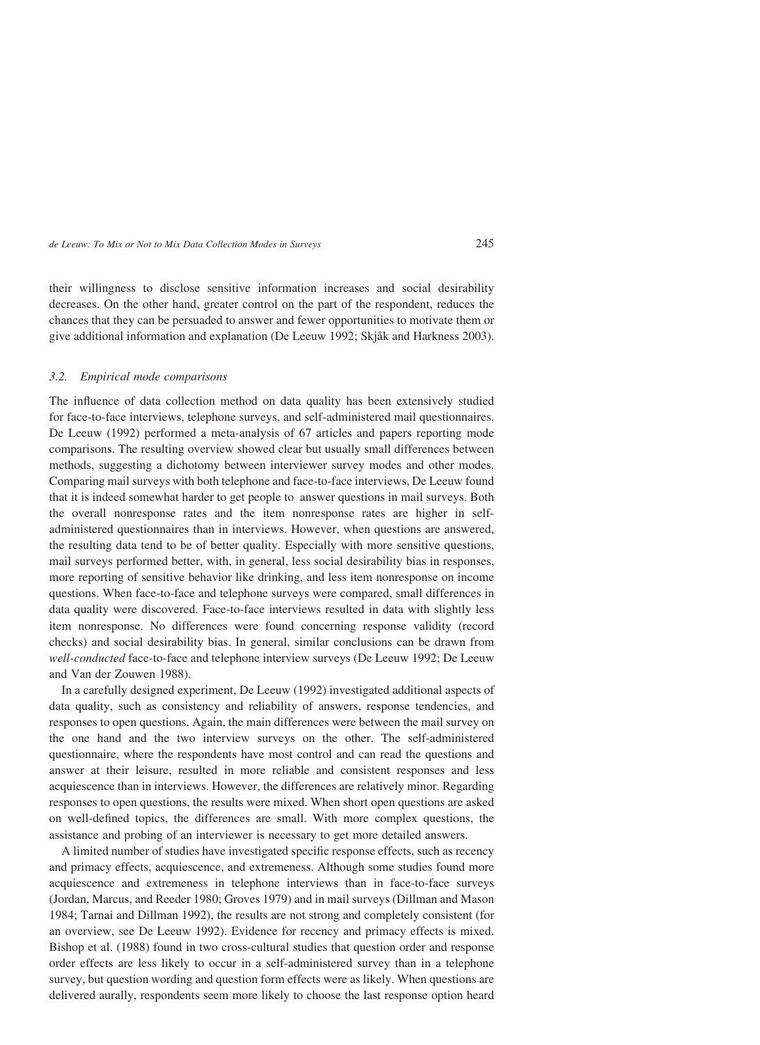their willingness to disclose sensitive information increases and social desirability decreases. On the other hand, greater control on the part of the respondent, reduces the chances that they can be persuaded to answer and fewer opportunities to motivate them or give additional information and explanation (De Leeuw 1992; Skjåk and Harkness 2003).

### 3.2. Empirical mode comparisons

The influence of data collection method on data quality has been extensively studied for face-to-face interviews, telephone surveys, and self-administered mail questionnaires. De Leeuw (1992) performed a meta-analysis of 67 articles and papers reporting mode comparisons. The resulting overview showed clear but usually small differences between methods, suggesting a dichotomy between interviewer survey modes and other modes. Comparing mail surveys with both telephone and face-to-face interviews, De Leeuw found that it is indeed somewhat harder to get people to answer questions in mail surveys. Both the overall nonresponse rates and the item nonresponse rates are higher in selfadministered questionnaires than in interviews. However, when questions are answered, the resulting data tend to be of better quality. Especially with more sensitive questions, mail surveys performed better, with, in general, less social desirability bias in responses, more reporting of sensitive behavior like drinking, and less item nonresponse on income questions. When face-to-face and telephone surveys were compared, small differences in data quality were discovered. Face-to-face interviews resulted in data with slightly less item nonresponse. No differences were found concerning response validity (record checks) and social desirability bias. In general, similar conclusions can be drawn from well-conducted face-to-face and telephone interview surveys (De Leeuw 1992; De Leeuw and Van der Zouwen 1988).

In a carefully designed experiment, De Leeuw (1992) investigated additional aspects of data quality, such as consistency and reliability of answers, response tendencies, and responses to open questions. Again, the main differences were between the mail survey on the one hand and the two interview surveys on the other. The self-administered questionnaire, where the respondents have most control and can read the questions and answer at their leisure, resulted in more reliable and consistent responses and less acquiescence than in interviews. However, the differences are relatively minor. Regarding responses to open questions, the results were mixed. When short open questions are asked on well-defined topics, the differences are small. With more complex questions, the assistance and probing of an interviewer is necessary to get more detailed answers.

A limited number of studies have investigated specific response effects, such as recency and primacy effects, acquiescence, and extremeness. Although some studies found more acquiescence and extremeness in telephone interviews than in face-to-face surveys (Jordan, Marcus, and Reeder 1980; Groves 1979) and in mail surveys (Dillman and Mason 1984; Tarnai and Dillman 1992), the results are not strong and completely consistent (for an overview, see De Leeuw 1992). Evidence for recency and primacy effects is mixed. Bishop et al. (1988) found in two cross-cultural studies that question order and response order effects are less likely to occur in a self-administered survey than in a telephone survey, but question wording and question form effects were as likely. When questions are delivered aurally, respondents seem more likely to choose the last response option heard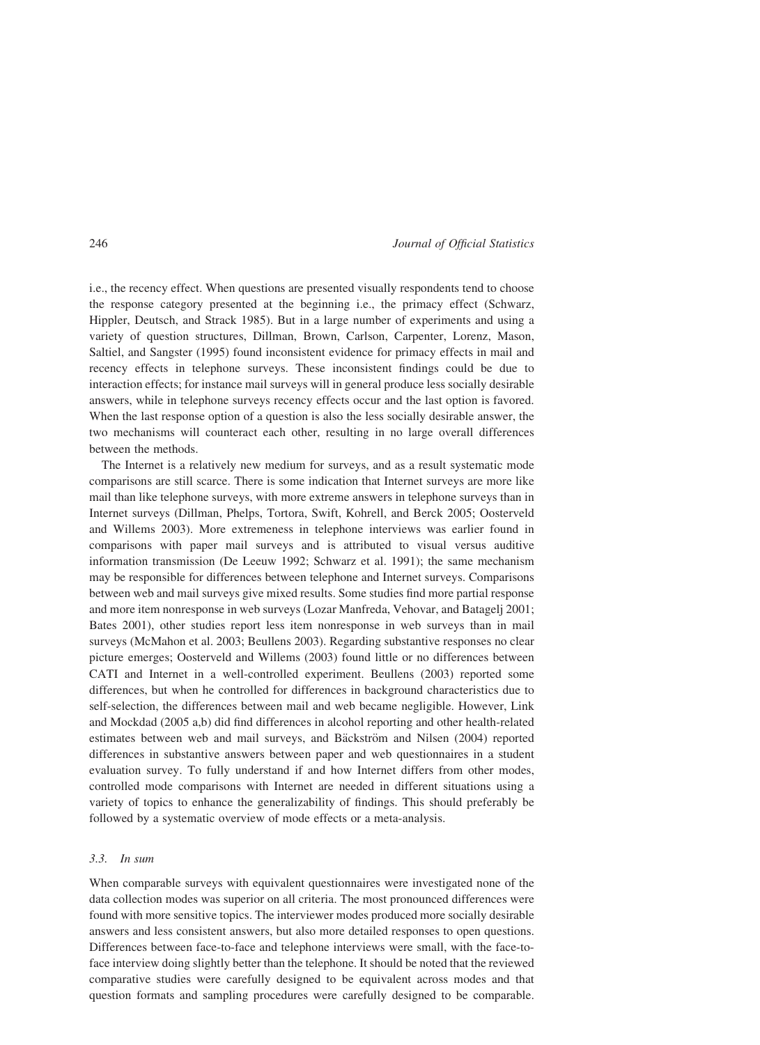i.e., the recency effect. When questions are presented visually respondents tend to choose the response category presented at the beginning i.e., the primacy effect (Schwarz, Hippler, Deutsch, and Strack 1985). But in a large number of experiments and using a variety of question structures, Dillman, Brown, Carlson, Carpenter, Lorenz, Mason, Saltiel, and Sangster (1995) found inconsistent evidence for primacy effects in mail and recency effects in telephone surveys. These inconsistent findings could be due to interaction effects; for instance mail surveys will in general produce less socially desirable answers, while in telephone surveys recency effects occur and the last option is favored. When the last response option of a question is also the less socially desirable answer, the two mechanisms will counteract each other, resulting in no large overall differences between the methods.

The Internet is a relatively new medium for surveys, and as a result systematic mode comparisons are still scarce. There is some indication that Internet surveys are more like mail than like telephone surveys, with more extreme answers in telephone surveys than in Internet surveys (Dillman, Phelps, Tortora, Swift, Kohrell, and Berck 2005; Oosterveld and Willems 2003). More extremeness in telephone interviews was earlier found in comparisons with paper mail surveys and is attributed to visual versus auditive information transmission (De Leeuw 1992; Schwarz et al. 1991); the same mechanism may be responsible for differences between telephone and Internet surveys. Comparisons between web and mail surveys give mixed results. Some studies find more partial response and more item nonresponse in web surveys (Lozar Manfreda, Vehovar, and Batagelj 2001; Bates 2001), other studies report less item nonresponse in web surveys than in mail surveys (McMahon et al. 2003; Beullens 2003). Regarding substantive responses no clear picture emerges; Oosterveld and Willems (2003) found little or no differences between CATI and Internet in a well-controlled experiment. Beullens (2003) reported some differences, but when he controlled for differences in background characteristics due to self-selection, the differences between mail and web became negligible. However, Link and Mockdad (2005 a,b) did find differences in alcohol reporting and other health-related estimates between web and mail surveys, and Bäckström and Nilsen (2004) reported differences in substantive answers between paper and web questionnaires in a student evaluation survey. To fully understand if and how Internet differs from other modes, controlled mode comparisons with Internet are needed in different situations using a variety of topics to enhance the generalizability of findings. This should preferably be followed by a systematic overview of mode effects or a meta-analysis.

#### 3.3. In sum

When comparable surveys with equivalent questionnaires were investigated none of the data collection modes was superior on all criteria. The most pronounced differences were found with more sensitive topics. The interviewer modes produced more socially desirable answers and less consistent answers, but also more detailed responses to open questions. Differences between face-to-face and telephone interviews were small, with the face-toface interview doing slightly better than the telephone. It should be noted that the reviewed comparative studies were carefully designed to be equivalent across modes and that question formats and sampling procedures were carefully designed to be comparable.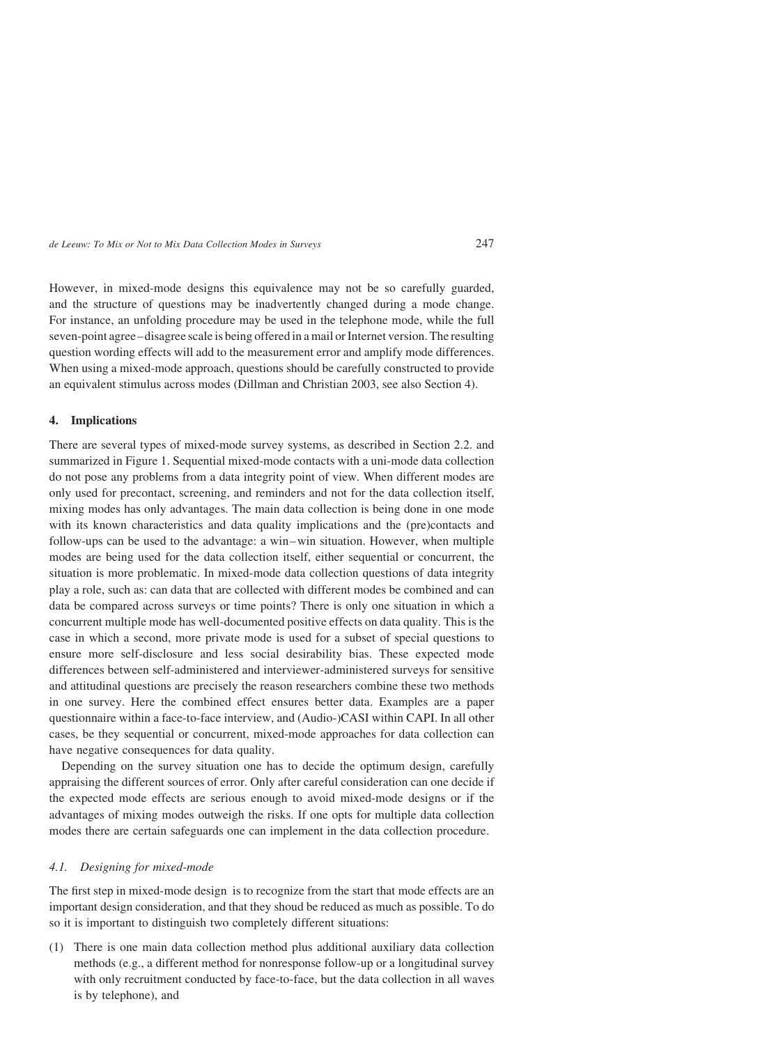However, in mixed-mode designs this equivalence may not be so carefully guarded, and the structure of questions may be inadvertently changed during a mode change. For instance, an unfolding procedure may be used in the telephone mode, while the full seven-point agree– disagree scale is being offered in a mail or Internet version. The resulting question wording effects will add to the measurement error and amplify mode differences. When using a mixed-mode approach, questions should be carefully constructed to provide an equivalent stimulus across modes (Dillman and Christian 2003, see also Section 4).

### 4. Implications

There are several types of mixed-mode survey systems, as described in Section 2.2. and summarized in Figure 1. Sequential mixed-mode contacts with a uni-mode data collection do not pose any problems from a data integrity point of view. When different modes are only used for precontact, screening, and reminders and not for the data collection itself, mixing modes has only advantages. The main data collection is being done in one mode with its known characteristics and data quality implications and the (pre)contacts and follow-ups can be used to the advantage: a win–win situation. However, when multiple modes are being used for the data collection itself, either sequential or concurrent, the situation is more problematic. In mixed-mode data collection questions of data integrity play a role, such as: can data that are collected with different modes be combined and can data be compared across surveys or time points? There is only one situation in which a concurrent multiple mode has well-documented positive effects on data quality. This is the case in which a second, more private mode is used for a subset of special questions to ensure more self-disclosure and less social desirability bias. These expected mode differences between self-administered and interviewer-administered surveys for sensitive and attitudinal questions are precisely the reason researchers combine these two methods in one survey. Here the combined effect ensures better data. Examples are a paper questionnaire within a face-to-face interview, and (Audio-)CASI within CAPI. In all other cases, be they sequential or concurrent, mixed-mode approaches for data collection can have negative consequences for data quality.

Depending on the survey situation one has to decide the optimum design, carefully appraising the different sources of error. Only after careful consideration can one decide if the expected mode effects are serious enough to avoid mixed-mode designs or if the advantages of mixing modes outweigh the risks. If one opts for multiple data collection modes there are certain safeguards one can implement in the data collection procedure.

### 4.1. Designing for mixed-mode

The first step in mixed-mode design is to recognize from the start that mode effects are an important design consideration, and that they shoud be reduced as much as possible. To do so it is important to distinguish two completely different situations:

(1) There is one main data collection method plus additional auxiliary data collection methods (e.g., a different method for nonresponse follow-up or a longitudinal survey with only recruitment conducted by face-to-face, but the data collection in all waves is by telephone), and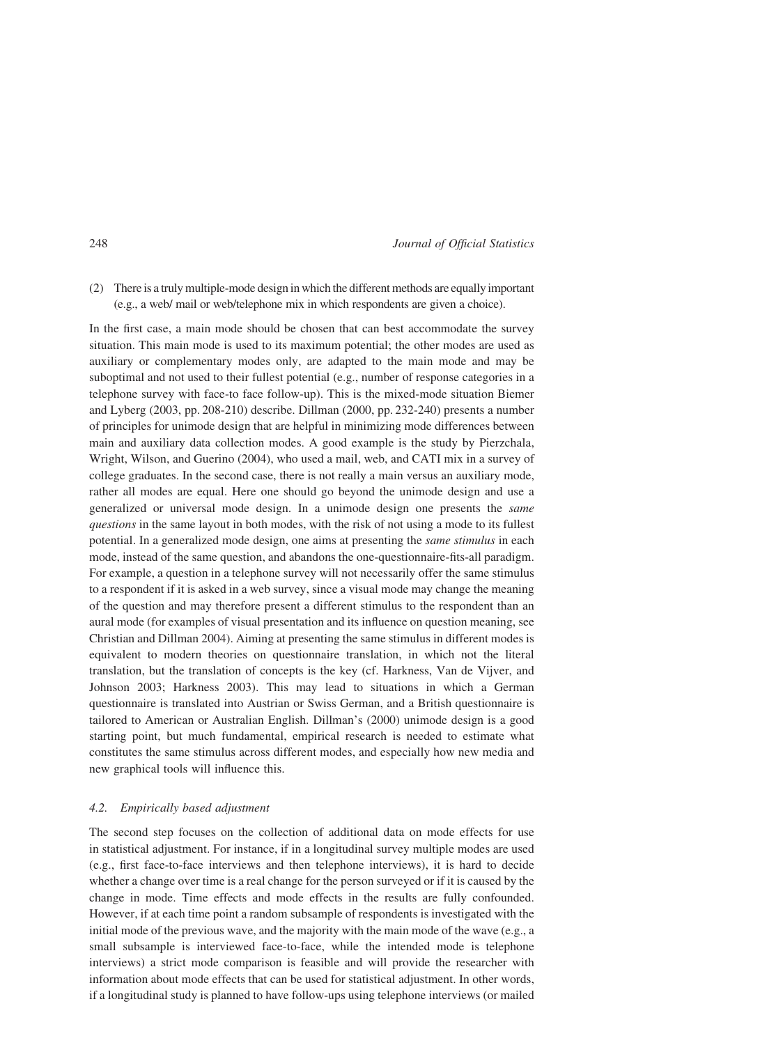(2) There is a truly multiple-mode design in which the different methods are equally important (e.g., a web/ mail or web/telephone mix in which respondents are given a choice).

In the first case, a main mode should be chosen that can best accommodate the survey situation. This main mode is used to its maximum potential; the other modes are used as auxiliary or complementary modes only, are adapted to the main mode and may be suboptimal and not used to their fullest potential (e.g., number of response categories in a telephone survey with face-to face follow-up). This is the mixed-mode situation Biemer and Lyberg (2003, pp. 208-210) describe. Dillman (2000, pp. 232-240) presents a number of principles for unimode design that are helpful in minimizing mode differences between main and auxiliary data collection modes. A good example is the study by Pierzchala, Wright, Wilson, and Guerino (2004), who used a mail, web, and CATI mix in a survey of college graduates. In the second case, there is not really a main versus an auxiliary mode, rather all modes are equal. Here one should go beyond the unimode design and use a generalized or universal mode design. In a unimode design one presents the same questions in the same layout in both modes, with the risk of not using a mode to its fullest potential. In a generalized mode design, one aims at presenting the same stimulus in each mode, instead of the same question, and abandons the one-questionnaire-fits-all paradigm. For example, a question in a telephone survey will not necessarily offer the same stimulus to a respondent if it is asked in a web survey, since a visual mode may change the meaning of the question and may therefore present a different stimulus to the respondent than an aural mode (for examples of visual presentation and its influence on question meaning, see Christian and Dillman 2004). Aiming at presenting the same stimulus in different modes is equivalent to modern theories on questionnaire translation, in which not the literal translation, but the translation of concepts is the key (cf. Harkness, Van de Vijver, and Johnson 2003; Harkness 2003). This may lead to situations in which a German questionnaire is translated into Austrian or Swiss German, and a British questionnaire is tailored to American or Australian English. Dillman's (2000) unimode design is a good starting point, but much fundamental, empirical research is needed to estimate what constitutes the same stimulus across different modes, and especially how new media and new graphical tools will influence this.

# 4.2. Empirically based adjustment

The second step focuses on the collection of additional data on mode effects for use in statistical adjustment. For instance, if in a longitudinal survey multiple modes are used (e.g., first face-to-face interviews and then telephone interviews), it is hard to decide whether a change over time is a real change for the person surveyed or if it is caused by the change in mode. Time effects and mode effects in the results are fully confounded. However, if at each time point a random subsample of respondents is investigated with the initial mode of the previous wave, and the majority with the main mode of the wave (e.g., a small subsample is interviewed face-to-face, while the intended mode is telephone interviews) a strict mode comparison is feasible and will provide the researcher with information about mode effects that can be used for statistical adjustment. In other words, if a longitudinal study is planned to have follow-ups using telephone interviews (or mailed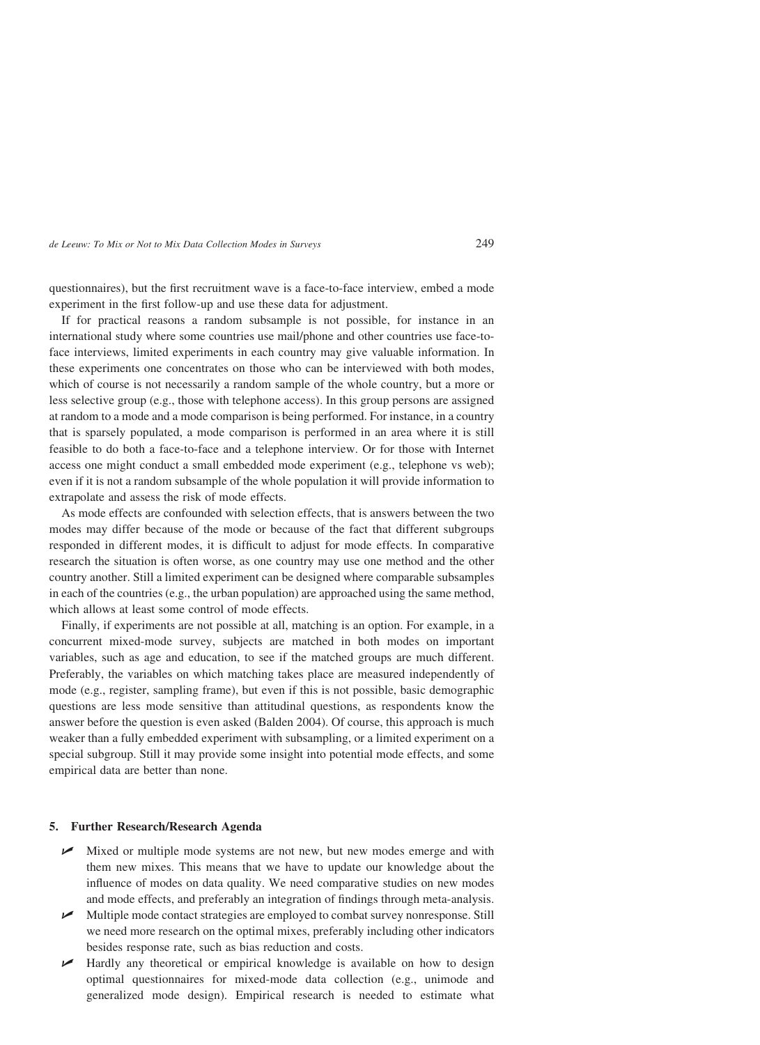questionnaires), but the first recruitment wave is a face-to-face interview, embed a mode experiment in the first follow-up and use these data for adjustment.

If for practical reasons a random subsample is not possible, for instance in an international study where some countries use mail/phone and other countries use face-toface interviews, limited experiments in each country may give valuable information. In these experiments one concentrates on those who can be interviewed with both modes, which of course is not necessarily a random sample of the whole country, but a more or less selective group (e.g., those with telephone access). In this group persons are assigned at random to a mode and a mode comparison is being performed. For instance, in a country that is sparsely populated, a mode comparison is performed in an area where it is still feasible to do both a face-to-face and a telephone interview. Or for those with Internet access one might conduct a small embedded mode experiment (e.g., telephone vs web); even if it is not a random subsample of the whole population it will provide information to extrapolate and assess the risk of mode effects.

As mode effects are confounded with selection effects, that is answers between the two modes may differ because of the mode or because of the fact that different subgroups responded in different modes, it is difficult to adjust for mode effects. In comparative research the situation is often worse, as one country may use one method and the other country another. Still a limited experiment can be designed where comparable subsamples in each of the countries (e.g., the urban population) are approached using the same method, which allows at least some control of mode effects.

Finally, if experiments are not possible at all, matching is an option. For example, in a concurrent mixed-mode survey, subjects are matched in both modes on important variables, such as age and education, to see if the matched groups are much different. Preferably, the variables on which matching takes place are measured independently of mode (e.g., register, sampling frame), but even if this is not possible, basic demographic questions are less mode sensitive than attitudinal questions, as respondents know the answer before the question is even asked (Balden 2004). Of course, this approach is much weaker than a fully embedded experiment with subsampling, or a limited experiment on a special subgroup. Still it may provide some insight into potential mode effects, and some empirical data are better than none.

### 5. Further Research/Research Agenda

- $\triangleright$  Mixed or multiple mode systems are not new, but new modes emerge and with them new mixes. This means that we have to update our knowledge about the influence of modes on data quality. We need comparative studies on new modes and mode effects, and preferably an integration of findings through meta-analysis.
- Multiple mode contact strategies are employed to combat survey nonresponse. Still we need more research on the optimal mixes, preferably including other indicators besides response rate, such as bias reduction and costs.
- **Let** Hardly any theoretical or empirical knowledge is available on how to design optimal questionnaires for mixed-mode data collection (e.g., unimode and generalized mode design). Empirical research is needed to estimate what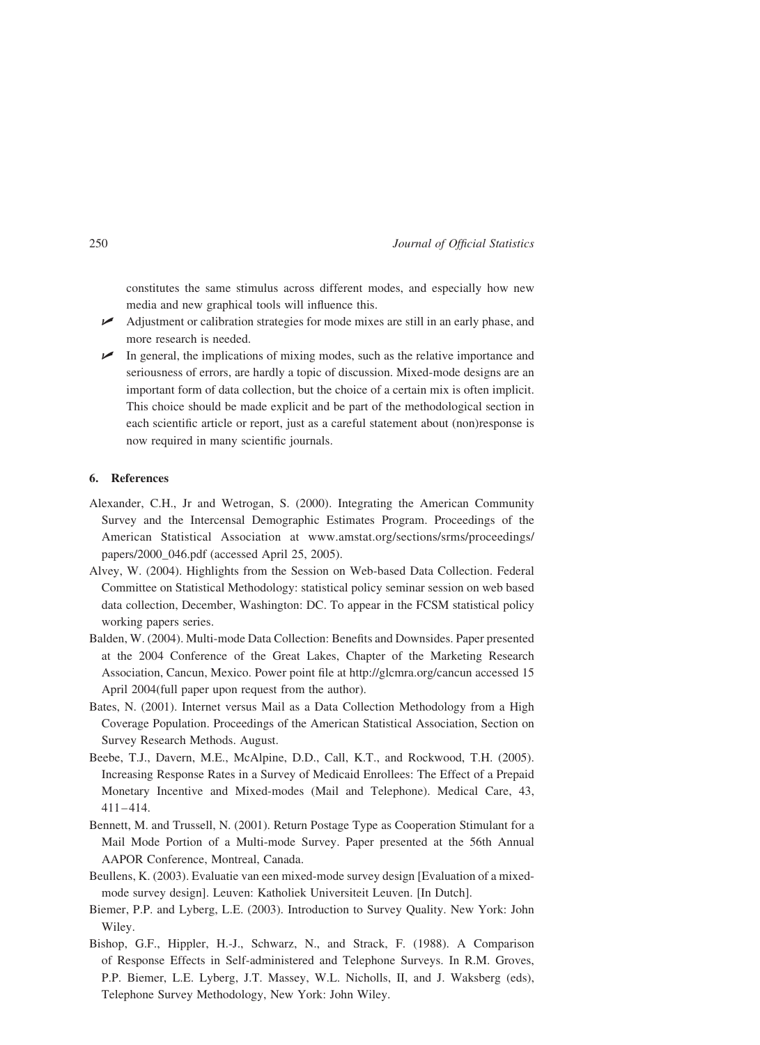constitutes the same stimulus across different modes, and especially how new media and new graphical tools will influence this.

- Adjustment or calibration strategies for mode mixes are still in an early phase, and more research is needed.
- $\triangleright$  In general, the implications of mixing modes, such as the relative importance and seriousness of errors, are hardly a topic of discussion. Mixed-mode designs are an important form of data collection, but the choice of a certain mix is often implicit. This choice should be made explicit and be part of the methodological section in each scientific article or report, just as a careful statement about (non)response is now required in many scientific journals.

### 6. References

- Alexander, C.H., Jr and Wetrogan, S. (2000). Integrating the American Community Survey and the Intercensal Demographic Estimates Program. Proceedings of the American Statistical Association at www.amstat.org/sections/srms/proceedings/ papers/2000\_046.pdf (accessed April 25, 2005).
- Alvey, W. (2004). Highlights from the Session on Web-based Data Collection. Federal Committee on Statistical Methodology: statistical policy seminar session on web based data collection, December, Washington: DC. To appear in the FCSM statistical policy working papers series.
- Balden, W. (2004). Multi-mode Data Collection: Benefits and Downsides. Paper presented at the 2004 Conference of the Great Lakes, Chapter of the Marketing Research Association, Cancun, Mexico. Power point file at http://glcmra.org/cancun accessed 15 April 2004(full paper upon request from the author).
- Bates, N. (2001). Internet versus Mail as a Data Collection Methodology from a High Coverage Population. Proceedings of the American Statistical Association, Section on Survey Research Methods. August.
- Beebe, T.J., Davern, M.E., McAlpine, D.D., Call, K.T., and Rockwood, T.H. (2005). Increasing Response Rates in a Survey of Medicaid Enrollees: The Effect of a Prepaid Monetary Incentive and Mixed-modes (Mail and Telephone). Medical Care, 43,  $411 - 414.$
- Bennett, M. and Trussell, N. (2001). Return Postage Type as Cooperation Stimulant for a Mail Mode Portion of a Multi-mode Survey. Paper presented at the 56th Annual AAPOR Conference, Montreal, Canada.
- Beullens, K. (2003). Evaluatie van een mixed-mode survey design [Evaluation of a mixedmode survey design]. Leuven: Katholiek Universiteit Leuven. [In Dutch].
- Biemer, P.P. and Lyberg, L.E. (2003). Introduction to Survey Quality. New York: John Wiley.
- Bishop, G.F., Hippler, H.-J., Schwarz, N., and Strack, F. (1988). A Comparison of Response Effects in Self-administered and Telephone Surveys. In R.M. Groves, P.P. Biemer, L.E. Lyberg, J.T. Massey, W.L. Nicholls, II, and J. Waksberg (eds), Telephone Survey Methodology, New York: John Wiley.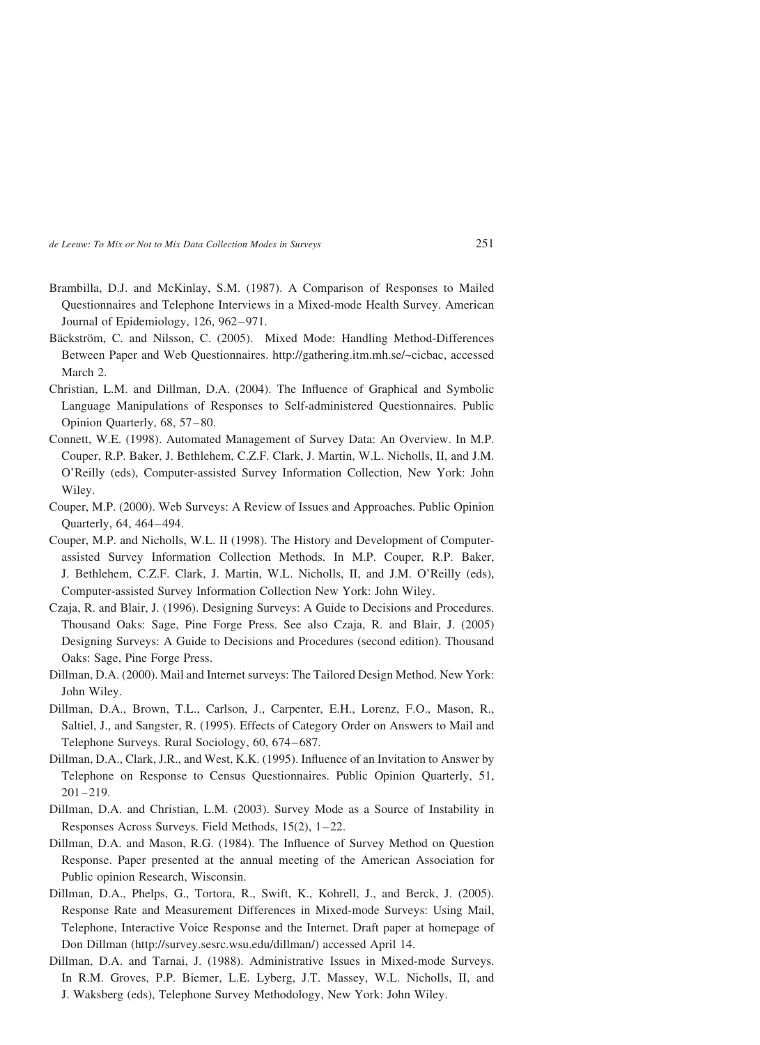- Brambilla, D.J. and McKinlay, S.M. (1987). A Comparison of Responses to Mailed Questionnaires and Telephone Interviews in a Mixed-mode Health Survey. American Journal of Epidemiology, 126, 962–971.
- Bäckström, C. and Nilsson, C. (2005). Mixed Mode: Handling Method-Differences Between Paper and Web Questionnaires. http://gathering.itm.mh.se/~cicbac, accessed March 2.
- Christian, L.M. and Dillman, D.A. (2004). The Influence of Graphical and Symbolic Language Manipulations of Responses to Self-administered Questionnaires. Public Opinion Quarterly, 68, 57-80.
- Connett, W.E. (1998). Automated Management of Survey Data: An Overview. In M.P. Couper, R.P. Baker, J. Bethlehem, C.Z.F. Clark, J. Martin, W.L. Nicholls, II, and J.M. O'Reilly (eds), Computer-assisted Survey Information Collection, New York: John Wiley.
- Couper, M.P. (2000). Web Surveys: A Review of Issues and Approaches. Public Opinion Quarterly, 64, 464 –494.
- Couper, M.P. and Nicholls, W.L. II (1998). The History and Development of Computerassisted Survey Information Collection Methods. In M.P. Couper, R.P. Baker, J. Bethlehem, C.Z.F. Clark, J. Martin, W.L. Nicholls, II, and J.M. O'Reilly (eds), Computer-assisted Survey Information Collection New York: John Wiley.
- Czaja, R. and Blair, J. (1996). Designing Surveys: A Guide to Decisions and Procedures. Thousand Oaks: Sage, Pine Forge Press. See also Czaja, R. and Blair, J. (2005) Designing Surveys: A Guide to Decisions and Procedures (second edition). Thousand Oaks: Sage, Pine Forge Press.
- Dillman, D.A. (2000). Mail and Internet surveys: The Tailored Design Method. New York: John Wiley.
- Dillman, D.A., Brown, T.L., Carlson, J., Carpenter, E.H., Lorenz, F.O., Mason, R., Saltiel, J., and Sangster, R. (1995). Effects of Category Order on Answers to Mail and Telephone Surveys. Rural Sociology, 60, 674 – 687.
- Dillman, D.A., Clark, J.R., and West, K.K. (1995). Influence of an Invitation to Answer by Telephone on Response to Census Questionnaires. Public Opinion Quarterly, 51,  $201 - 219.$
- Dillman, D.A. and Christian, L.M. (2003). Survey Mode as a Source of Instability in Responses Across Surveys. Field Methods, 15(2), 1 – 22.
- Dillman, D.A. and Mason, R.G. (1984). The Influence of Survey Method on Question Response. Paper presented at the annual meeting of the American Association for Public opinion Research, Wisconsin.
- Dillman, D.A., Phelps, G., Tortora, R., Swift, K., Kohrell, J., and Berck, J. (2005). Response Rate and Measurement Differences in Mixed-mode Surveys: Using Mail, Telephone, Interactive Voice Response and the Internet. Draft paper at homepage of Don Dillman (http://survey.sesrc.wsu.edu/dillman/) accessed April 14.
- Dillman, D.A. and Tarnai, J. (1988). Administrative Issues in Mixed-mode Surveys. In R.M. Groves, P.P. Biemer, L.E. Lyberg, J.T. Massey, W.L. Nicholls, II, and J. Waksberg (eds), Telephone Survey Methodology, New York: John Wiley.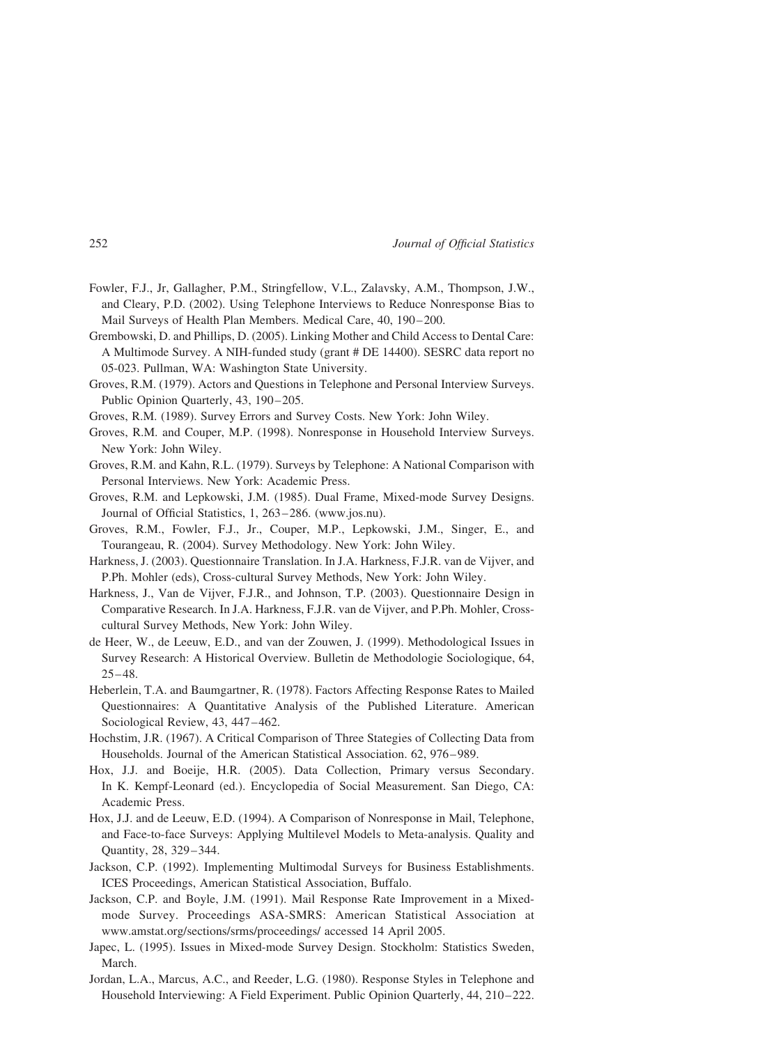- Fowler, F.J., Jr, Gallagher, P.M., Stringfellow, V.L., Zalavsky, A.M., Thompson, J.W., and Cleary, P.D. (2002). Using Telephone Interviews to Reduce Nonresponse Bias to Mail Surveys of Health Plan Members. Medical Care, 40, 190-200.
- Grembowski, D. and Phillips, D. (2005). Linking Mother and Child Access to Dental Care: A Multimode Survey. A NIH-funded study (grant # DE 14400). SESRC data report no 05-023. Pullman, WA: Washington State University.
- Groves, R.M. (1979). Actors and Questions in Telephone and Personal Interview Surveys. Public Opinion Quarterly, 43, 190-205.
- Groves, R.M. (1989). Survey Errors and Survey Costs. New York: John Wiley.
- Groves, R.M. and Couper, M.P. (1998). Nonresponse in Household Interview Surveys. New York: John Wiley.
- Groves, R.M. and Kahn, R.L. (1979). Surveys by Telephone: A National Comparison with Personal Interviews. New York: Academic Press.
- Groves, R.M. and Lepkowski, J.M. (1985). Dual Frame, Mixed-mode Survey Designs. Journal of Official Statistics, 1, 263 – 286. (www.jos.nu).
- Groves, R.M., Fowler, F.J., Jr., Couper, M.P., Lepkowski, J.M., Singer, E., and Tourangeau, R. (2004). Survey Methodology. New York: John Wiley.
- Harkness, J. (2003). Questionnaire Translation. In J.A. Harkness, F.J.R. van de Vijver, and P.Ph. Mohler (eds), Cross-cultural Survey Methods, New York: John Wiley.
- Harkness, J., Van de Vijver, F.J.R., and Johnson, T.P. (2003). Questionnaire Design in Comparative Research. In J.A. Harkness, F.J.R. van de Vijver, and P.Ph. Mohler, Crosscultural Survey Methods, New York: John Wiley.
- de Heer, W., de Leeuw, E.D., and van der Zouwen, J. (1999). Methodological Issues in Survey Research: A Historical Overview. Bulletin de Methodologie Sociologique, 64,  $25 - 48.$
- Heberlein, T.A. and Baumgartner, R. (1978). Factors Affecting Response Rates to Mailed Questionnaires: A Quantitative Analysis of the Published Literature. American Sociological Review, 43, 447 –462.
- Hochstim, J.R. (1967). A Critical Comparison of Three Stategies of Collecting Data from Households. Journal of the American Statistical Association. 62, 976– 989.
- Hox, J.J. and Boeije, H.R. (2005). Data Collection, Primary versus Secondary. In K. Kempf-Leonard (ed.). Encyclopedia of Social Measurement. San Diego, CA: Academic Press.
- Hox, J.J. and de Leeuw, E.D. (1994). A Comparison of Nonresponse in Mail, Telephone, and Face-to-face Surveys: Applying Multilevel Models to Meta-analysis. Quality and Quantity, 28, 329 –344.
- Jackson, C.P. (1992). Implementing Multimodal Surveys for Business Establishments. ICES Proceedings, American Statistical Association, Buffalo.
- Jackson, C.P. and Boyle, J.M. (1991). Mail Response Rate Improvement in a Mixedmode Survey. Proceedings ASA-SMRS: American Statistical Association at www.amstat.org/sections/srms/proceedings/ accessed 14 April 2005.
- Japec, L. (1995). Issues in Mixed-mode Survey Design. Stockholm: Statistics Sweden, March.
- Jordan, L.A., Marcus, A.C., and Reeder, L.G. (1980). Response Styles in Telephone and Household Interviewing: A Field Experiment. Public Opinion Quarterly, 44, 210–222.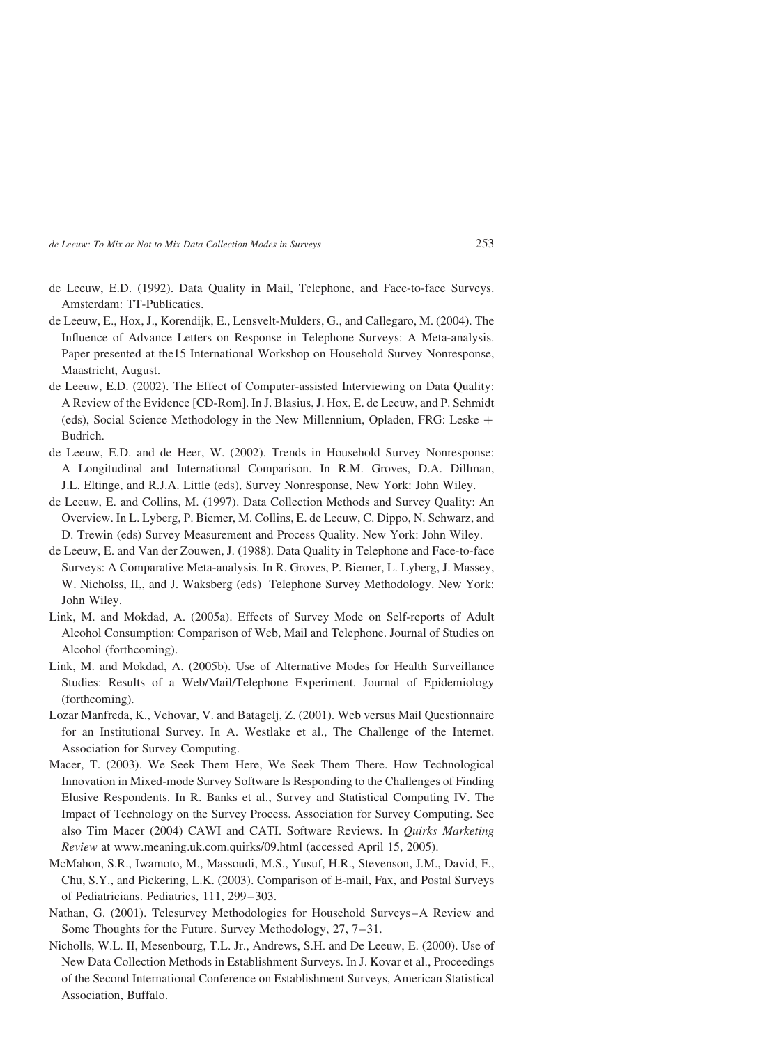- de Leeuw, E.D. (1992). Data Quality in Mail, Telephone, and Face-to-face Surveys. Amsterdam: TT-Publicaties.
- de Leeuw, E., Hox, J., Korendijk, E., Lensvelt-Mulders, G., and Callegaro, M. (2004). The Influence of Advance Letters on Response in Telephone Surveys: A Meta-analysis. Paper presented at the15 International Workshop on Household Survey Nonresponse, Maastricht, August.
- de Leeuw, E.D. (2002). The Effect of Computer-assisted Interviewing on Data Quality: A Review of the Evidence [CD-Rom]. In J. Blasius, J. Hox, E. de Leeuw, and P. Schmidt (eds), Social Science Methodology in the New Millennium, Opladen, FRG: Leske  $+$ Budrich.
- de Leeuw, E.D. and de Heer, W. (2002). Trends in Household Survey Nonresponse: A Longitudinal and International Comparison. In R.M. Groves, D.A. Dillman, J.L. Eltinge, and R.J.A. Little (eds), Survey Nonresponse, New York: John Wiley.
- de Leeuw, E. and Collins, M. (1997). Data Collection Methods and Survey Quality: An Overview. In L. Lyberg, P. Biemer, M. Collins, E. de Leeuw, C. Dippo, N. Schwarz, and D. Trewin (eds) Survey Measurement and Process Quality. New York: John Wiley.
- de Leeuw, E. and Van der Zouwen, J. (1988). Data Quality in Telephone and Face-to-face Surveys: A Comparative Meta-analysis. In R. Groves, P. Biemer, L. Lyberg, J. Massey, W. Nicholss, II,, and J. Waksberg (eds) Telephone Survey Methodology. New York: John Wiley.
- Link, M. and Mokdad, A. (2005a). Effects of Survey Mode on Self-reports of Adult Alcohol Consumption: Comparison of Web, Mail and Telephone. Journal of Studies on Alcohol (forthcoming).
- Link, M. and Mokdad, A. (2005b). Use of Alternative Modes for Health Surveillance Studies: Results of a Web/Mail/Telephone Experiment. Journal of Epidemiology (forthcoming).
- Lozar Manfreda, K., Vehovar, V. and Batagelj, Z. (2001). Web versus Mail Questionnaire for an Institutional Survey. In A. Westlake et al., The Challenge of the Internet. Association for Survey Computing.
- Macer, T. (2003). We Seek Them Here, We Seek Them There. How Technological Innovation in Mixed-mode Survey Software Is Responding to the Challenges of Finding Elusive Respondents. In R. Banks et al., Survey and Statistical Computing IV. The Impact of Technology on the Survey Process. Association for Survey Computing. See also Tim Macer (2004) CAWI and CATI. Software Reviews. In Quirks Marketing Review at www.meaning.uk.com.quirks/09.html (accessed April 15, 2005).
- McMahon, S.R., Iwamoto, M., Massoudi, M.S., Yusuf, H.R., Stevenson, J.M., David, F., Chu, S.Y., and Pickering, L.K. (2003). Comparison of E-mail, Fax, and Postal Surveys of Pediatricians. Pediatrics, 111, 299– 303.
- Nathan, G. (2001). Telesurvey Methodologies for Household Surveys–A Review and Some Thoughts for the Future. Survey Methodology, 27, 7 –31.
- Nicholls, W.L. II, Mesenbourg, T.L. Jr., Andrews, S.H. and De Leeuw, E. (2000). Use of New Data Collection Methods in Establishment Surveys. In J. Kovar et al., Proceedings of the Second International Conference on Establishment Surveys, American Statistical Association, Buffalo.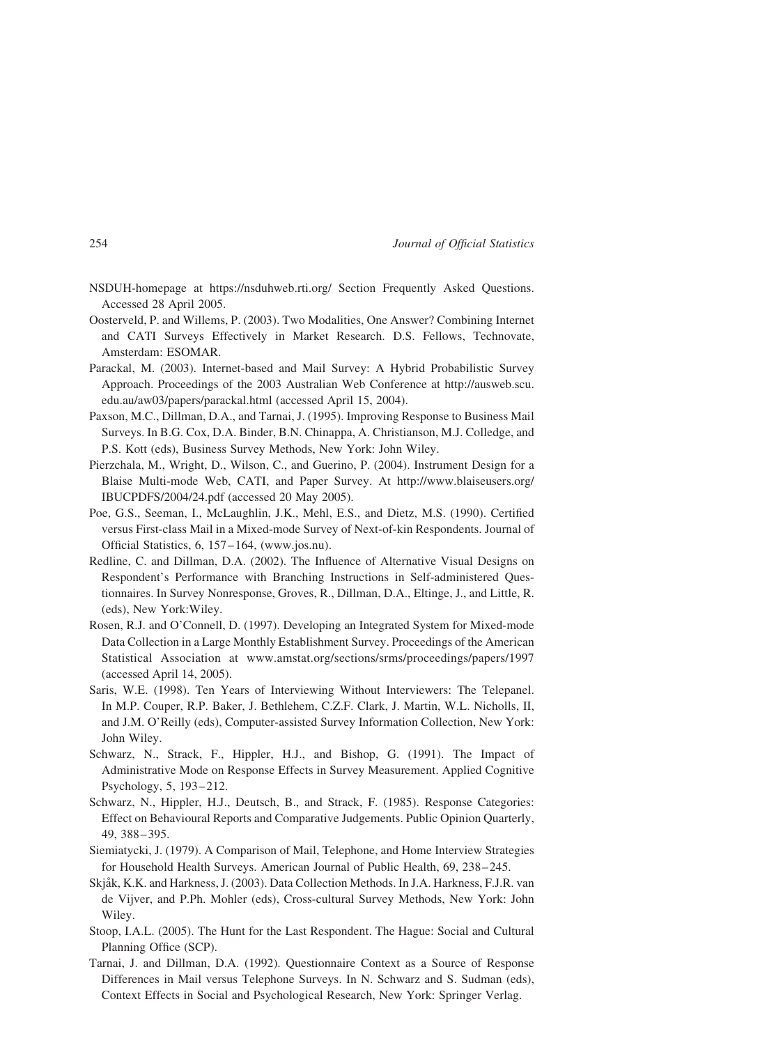- NSDUH-homepage at https://nsduhweb.rti.org/ Section Frequently Asked Questions. Accessed 28 April 2005.
- Oosterveld, P. and Willems, P. (2003). Two Modalities, One Answer? Combining Internet and CATI Surveys Effectively in Market Research. D.S. Fellows, Technovate, Amsterdam: ESOMAR.
- Parackal, M. (2003). Internet-based and Mail Survey: A Hybrid Probabilistic Survey Approach. Proceedings of the 2003 Australian Web Conference at http://ausweb.scu. edu.au/aw03/papers/parackal.html (accessed April 15, 2004).
- Paxson, M.C., Dillman, D.A., and Tarnai, J. (1995). Improving Response to Business Mail Surveys. In B.G. Cox, D.A. Binder, B.N. Chinappa, A. Christianson, M.J. Colledge, and P.S. Kott (eds), Business Survey Methods, New York: John Wiley.
- Pierzchala, M., Wright, D., Wilson, C., and Guerino, P. (2004). Instrument Design for a Blaise Multi-mode Web, CATI, and Paper Survey. At http://www.blaiseusers.org/ IBUCPDFS/2004/24.pdf (accessed 20 May 2005).
- Poe, G.S., Seeman, I., McLaughlin, J.K., Mehl, E.S., and Dietz, M.S. (1990). Certified versus First-class Mail in a Mixed-mode Survey of Next-of-kin Respondents. Journal of Official Statistics, 6, 157 –164, (www.jos.nu).
- Redline, C. and Dillman, D.A. (2002). The Influence of Alternative Visual Designs on Respondent's Performance with Branching Instructions in Self-administered Questionnaires. In Survey Nonresponse, Groves, R., Dillman, D.A., Eltinge, J., and Little, R. (eds), New York:Wiley.
- Rosen, R.J. and O'Connell, D. (1997). Developing an Integrated System for Mixed-mode Data Collection in a Large Monthly Establishment Survey. Proceedings of the American Statistical Association at www.amstat.org/sections/srms/proceedings/papers/1997 (accessed April 14, 2005).
- Saris, W.E. (1998). Ten Years of Interviewing Without Interviewers: The Telepanel. In M.P. Couper, R.P. Baker, J. Bethlehem, C.Z.F. Clark, J. Martin, W.L. Nicholls, II, and J.M. O'Reilly (eds), Computer-assisted Survey Information Collection, New York: John Wiley.
- Schwarz, N., Strack, F., Hippler, H.J., and Bishop, G. (1991). The Impact of Administrative Mode on Response Effects in Survey Measurement. Applied Cognitive Psychology, 5, 193-212.
- Schwarz, N., Hippler, H.J., Deutsch, B., and Strack, F. (1985). Response Categories: Effect on Behavioural Reports and Comparative Judgements. Public Opinion Quarterly, 49, 388 – 395.
- Siemiatycki, J. (1979). A Comparison of Mail, Telephone, and Home Interview Strategies for Household Health Surveys. American Journal of Public Health, 69, 238–245.
- Skjåk, K.K. and Harkness, J. (2003). Data Collection Methods. In J.A. Harkness, F.J.R. van de Vijver, and P.Ph. Mohler (eds), Cross-cultural Survey Methods, New York: John Wiley.
- Stoop, I.A.L. (2005). The Hunt for the Last Respondent. The Hague: Social and Cultural Planning Office (SCP).
- Tarnai, J. and Dillman, D.A. (1992). Questionnaire Context as a Source of Response Differences in Mail versus Telephone Surveys. In N. Schwarz and S. Sudman (eds), Context Effects in Social and Psychological Research, New York: Springer Verlag.